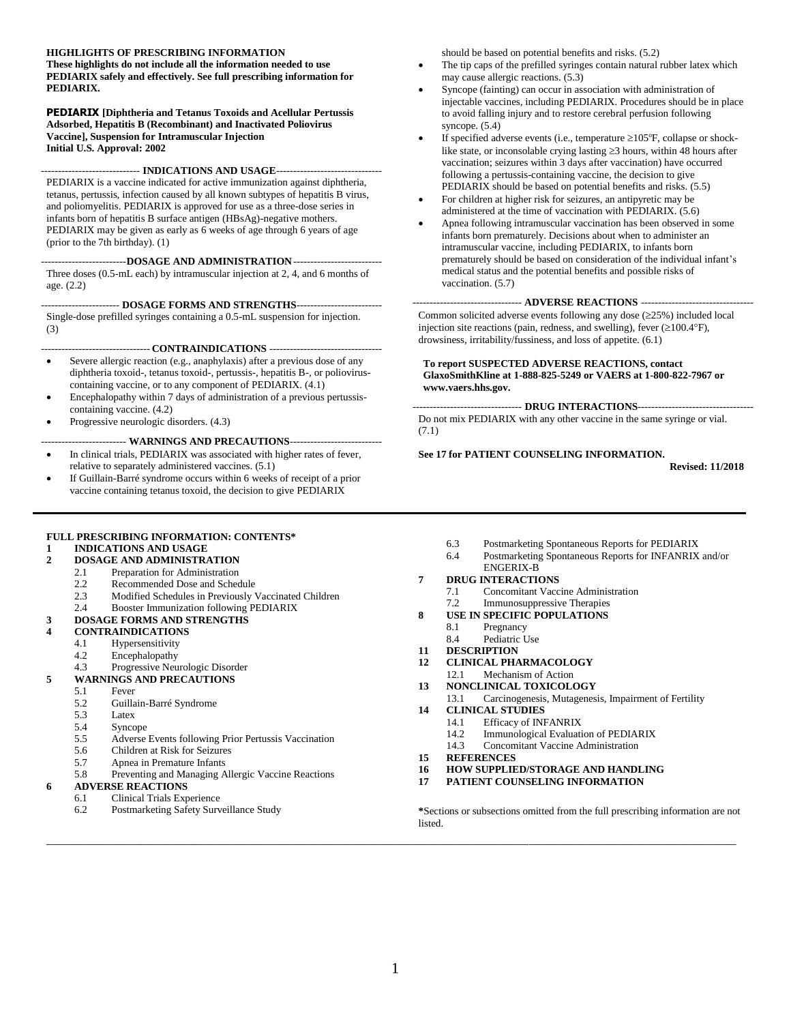### **HIGHLIGHTS OF PRESCRIBING INFORMATION**

**These highlights do not include all the information needed to use PEDIARIX safely and effectively. See full prescribing information for PEDIARIX.**

**PEDIARIX [Diphtheria and Tetanus Toxoids and Acellular Pertussis Adsorbed, Hepatitis B (Recombinant) and Inactivated Poliovirus Vaccine], Suspension for Intramuscular Injection Initial U.S. Approval: 2002**

#### ----------------------------- **INDICATIONS AND USAGE**-------------------------------

PEDIARIX is a vaccine indicated for active immunization against diphtheria, tetanus, pertussis, infection caused by all known subtypes of hepatitis B virus, and poliomyelitis. PEDIARIX is approved for use as a three-dose series in infants born of hepatitis B surface antigen (HBsAg)-negative mothers. PEDIARIX may be given as early as 6 weeks of age through 6 years of age (prior to the 7th birthday). (1)

#### -------------------------**DOSAGE AND ADMINISTRATION**--------------------------

Three doses (0.5-mL each) by intramuscular injection at 2, 4, and 6 months of age. (2.2)

### ----------------------- **DOSAGE FORMS AND STRENGTHS**-------------------------

Single-dose prefilled syringes containing a 0.5-mL suspension for injection. (3)

--- **CONTRAINDICATIONS** ----

- Severe allergic reaction (e.g., anaphylaxis) after a previous dose of any diphtheria toxoid-, tetanus toxoid-, pertussis-, hepatitis B-, or polioviruscontaining vaccine, or to any component of PEDIARIX. (4.1)
- Encephalopathy within 7 days of administration of a previous pertussiscontaining vaccine. (4.2)
- Progressive neurologic disorders. (4.3)
- ------------------------- **WARNINGS AND PRECAUTIONS**---------------------------
- In clinical trials, PEDIARIX was associated with higher rates of fever, relative to separately administered vaccines. (5.1)
- If Guillain-Barré syndrome occurs within 6 weeks of receipt of a prior vaccine containing tetanus toxoid, the decision to give PEDIARIX

#### should be based on potential benefits and risks. (5.2)

- The tip caps of the prefilled syringes contain natural rubber latex which may cause allergic reactions. (5.3)
- Syncope (fainting) can occur in association with administration of injectable vaccines, including PEDIARIX. Procedures should be in place to avoid falling injury and to restore cerebral perfusion following syncope. (5.4)
- If specified adverse events (i.e., temperature  $\geq 105^\circ F$ , collapse or shocklike state, or inconsolable crying lasting  $\geq$ 3 hours, within 48 hours after vaccination; seizures within 3 days after vaccination) have occurred following a pertussis-containing vaccine, the decision to give PEDIARIX should be based on potential benefits and risks. (5.5)
- For children at higher risk for seizures, an antipyretic may be administered at the time of vaccination with PEDIARIX. (5.6)
- Apnea following intramuscular vaccination has been observed in some infants born prematurely. Decisions about when to administer an intramuscular vaccine, including PEDIARIX, to infants born prematurely should be based on consideration of the individual infant's medical status and the potential benefits and possible risks of vaccination. (5.7)

#### -------------------------------- **ADVERSE REACTIONS** ---------------------------------

Common solicited adverse events following any dose  $(\geq 25\%)$  included local injection site reactions (pain, redness, and swelling), fever  $(\geq 100.4^{\circ}F)$ , drowsiness, irritability/fussiness, and loss of appetite. (6.1)

#### **To report SUSPECTED ADVERSE REACTIONS, contact GlaxoSmithKline at 1-888-825-5249 or VAERS at 1-800-822-7967 or www.vaers.hhs.gov.**

-------------------------------- **DRUG INTERACTIONS**----------------------------------

Do not mix PEDIARIX with any other vaccine in the same syringe or vial.  $(7.1)$ 

#### **See 17 for PATIENT COUNSELING INFORMATION.**

**Revised: 11/2018**

### **FULL PRESCRIBING INFORMATION: CONTENTS\***

#### **1 [INDICATIONS AND USAGE](#page-1-0) 2 [DOSAGE AND ADMINISTRATION](#page-1-1)**

- 2.1 [Preparation for Administration](#page-1-2)
	- 2.2 [Recommended Dose and Schedule](#page-1-3)
	-
	- 2.3 [Modified Schedules in Previously Vaccinated Children](#page-1-4)<br>2.4 Booster Immunization following PEDIARIX
	- 2.4 [Booster Immunization following PEDIARIX](#page-2-0)

### **3 [DOSAGE FORMS AND STRENGTHS](#page-2-1)**

- **4 [CONTRAINDICATIONS](#page-2-2)**
	- 4.1 [Hypersensitivity](#page-2-3)<br>4.2 Encephalopathy
	- [Encephalopathy](#page-2-4)
	- 4.3 [Progressive Neurologic Disorder](#page-3-0)
- **5 [WARNINGS AND PRECAUTIONS](#page-3-1)**
	- 5.1 [Fever](#page-3-2)<br>5.2 Guilla
		- 5.2 [Guillain-Barré Syndrome](#page-3-3)
		- 5.3 [Latex](#page-3-4)
		- 5.4 [Syncope](#page-3-5)<br>5.5 Adverse
		- 5.5 [Adverse Events following Prior Pertussis Vaccination](#page-3-6)
		- 5.6 [Children at Risk for Seizures](#page-3-7)
		- 5.7 [Apnea in Premature Infants](#page-4-0)
	- 5.8 [Preventing and Managing Allergic Vaccine Reactions](#page-4-1)

### **6 [ADVERSE REACTIONS](#page-4-2)**

- 6.1 [Clinical Trials Experience](#page-4-3)
- 6.2 [Postmarketing Safety Surveillance Study](#page-8-0)
- 6.3 [Postmarketing Spontaneous Reports for PEDIARIX](#page-10-0)
- 6.4 [Postmarketing Spontaneous Reports for INFANRIX and/or](#page-11-0)  [ENGERIX-B](#page-11-0)
- **7 [DRUG INTERACTIONS](#page-12-0)**
	- 7.1 [Concomitant Vaccine Administration](#page-12-1)<br>7.2 Immunosuppressive Therapies
	- [Immunosuppressive Therapies](#page-13-0)
- **8 [USE IN SPECIFIC POPULATIONS](#page-13-1)**
	- 8.1 [Pregnancy](#page-13-2)<br>8.4 Pediatric I
	- [Pediatric Use](#page-13-3)
- **11 [DESCRIPTION](#page-13-4)**
- **12 [CLINICAL PHARMACOLOGY](#page-15-0)**
- 12.1 [Mechanism of Action](#page-15-1)
- **13 [NONCLINICAL TOXICOLOGY](#page-15-2)**
- 13.1 [Carcinogenesis, Mutagenesis, Impairment of Fertility](#page-15-3)
- **14 [CLINICAL STUDIES](#page-15-4)**
	- 14.1 [Efficacy of INFANRIX](#page-16-0)<br>14.2 Immunological Evaluati [Immunological Evaluation of PEDIARIX](#page-16-1)
	-
	- 14.3 [Concomitant Vaccine Administration](#page-19-0)
- **15 [REFERENCES](#page-20-0)**
- **16 [HOW SUPPLIED/STORAGE](#page-21-0) AND HANDLING**
- **17 [PATIENT COUNSELING INFORMATION](#page-21-1)**

**\***Sections or subsections omitted from the full prescribing information are not listed.

**\_\_\_\_\_\_\_\_\_\_\_\_\_\_\_\_\_\_\_\_\_\_\_\_\_\_\_\_\_\_\_\_\_\_\_\_\_\_\_\_\_\_\_\_\_\_\_\_\_\_\_\_\_\_\_\_\_\_\_\_\_\_\_\_\_\_\_\_\_\_\_\_\_\_\_\_\_\_\_\_**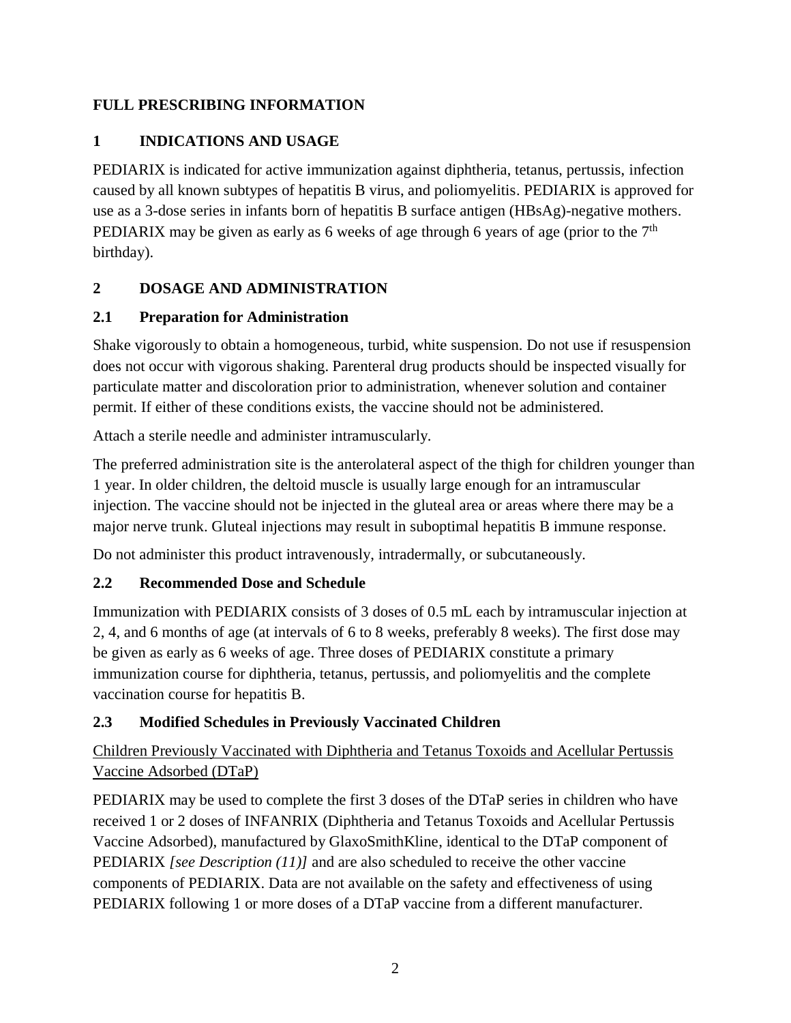### <span id="page-1-0"></span>**FULL PRESCRIBING INFORMATION**

## **1 INDICATIONS AND USAGE**

PEDIARIX is indicated for active immunization against diphtheria, tetanus, pertussis, infection caused by all known subtypes of hepatitis B virus, and poliomyelitis. PEDIARIX is approved for use as a 3-dose series in infants born of hepatitis B surface antigen (HBsAg)-negative mothers. PEDIARIX may be given as early as 6 weeks of age through 6 years of age (prior to the  $7<sup>th</sup>$ birthday).

# <span id="page-1-1"></span>**2 DOSAGE AND ADMINISTRATION**

### <span id="page-1-2"></span>**2.1 Preparation for Administration**

Shake vigorously to obtain a homogeneous, turbid, white suspension. Do not use if resuspension does not occur with vigorous shaking. Parenteral drug products should be inspected visually for particulate matter and discoloration prior to administration, whenever solution and container permit. If either of these conditions exists, the vaccine should not be administered.

Attach a sterile needle and administer intramuscularly.

The preferred administration site is the anterolateral aspect of the thigh for children younger than 1 year. In older children, the deltoid muscle is usually large enough for an intramuscular injection. The vaccine should not be injected in the gluteal area or areas where there may be a major nerve trunk. Gluteal injections may result in suboptimal hepatitis B immune response.

Do not administer this product intravenously, intradermally, or subcutaneously.

## <span id="page-1-3"></span>**2.2 Recommended Dose and Schedule**

Immunization with PEDIARIX consists of 3 doses of 0.5 mL each by intramuscular injection at 2, 4, and 6 months of age (at intervals of 6 to 8 weeks, preferably 8 weeks). The first dose may be given as early as 6 weeks of age. Three doses of PEDIARIX constitute a primary immunization course for diphtheria, tetanus, pertussis, and poliomyelitis and the complete vaccination course for hepatitis B.

## <span id="page-1-4"></span>**2.3 Modified Schedules in Previously Vaccinated Children**

# Children Previously Vaccinated with Diphtheria and Tetanus Toxoids and Acellular Pertussis Vaccine Adsorbed (DTaP)

PEDIARIX may be used to complete the first 3 doses of the DTaP series in children who have received 1 or 2 doses of INFANRIX (Diphtheria and Tetanus Toxoids and Acellular Pertussis Vaccine Adsorbed), manufactured by GlaxoSmithKline, identical to the DTaP component of PEDIARIX *[see Description (11)]* and are also scheduled to receive the other vaccine components of PEDIARIX. Data are not available on the safety and effectiveness of using PEDIARIX following 1 or more doses of a DTaP vaccine from a different manufacturer.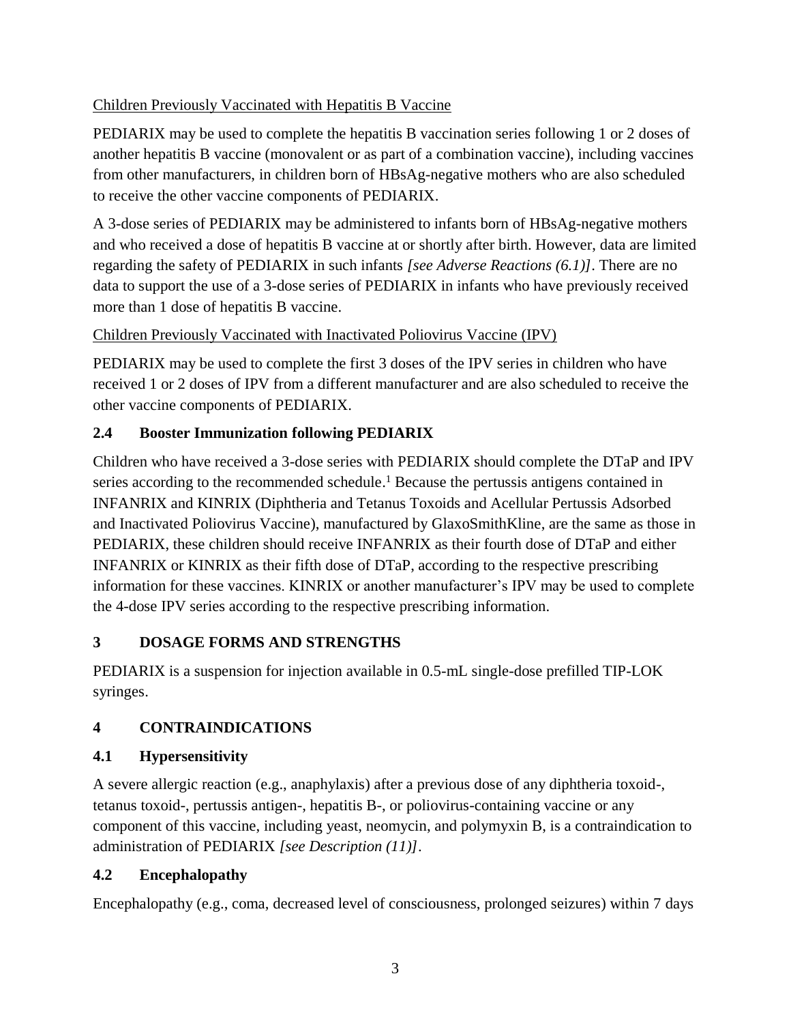# Children Previously Vaccinated with Hepatitis B Vaccine

PEDIARIX may be used to complete the hepatitis B vaccination series following 1 or 2 doses of another hepatitis B vaccine (monovalent or as part of a combination vaccine), including vaccines from other manufacturers, in children born of HBsAg-negative mothers who are also scheduled to receive the other vaccine components of PEDIARIX.

A 3-dose series of PEDIARIX may be administered to infants born of HBsAg-negative mothers and who received a dose of hepatitis B vaccine at or shortly after birth. However, data are limited regarding the safety of PEDIARIX in such infants *[see Adverse Reactions (6.1)]*. There are no data to support the use of a 3-dose series of PEDIARIX in infants who have previously received more than 1 dose of hepatitis B vaccine.

# Children Previously Vaccinated with Inactivated Poliovirus Vaccine (IPV)

PEDIARIX may be used to complete the first 3 doses of the IPV series in children who have received 1 or 2 doses of IPV from a different manufacturer and are also scheduled to receive the other vaccine components of PEDIARIX.

# <span id="page-2-0"></span>**2.4 Booster Immunization following PEDIARIX**

Children who have received a 3-dose series with PEDIARIX should complete the DTaP and IPV series according to the recommended schedule.<sup>1</sup> Because the pertussis antigens contained in INFANRIX and KINRIX (Diphtheria and Tetanus Toxoids and Acellular Pertussis Adsorbed and Inactivated Poliovirus Vaccine), manufactured by GlaxoSmithKline, are the same as those in PEDIARIX, these children should receive INFANRIX as their fourth dose of DTaP and either INFANRIX or KINRIX as their fifth dose of DTaP, according to the respective prescribing information for these vaccines. KINRIX or another manufacturer's IPV may be used to complete the 4-dose IPV series according to the respective prescribing information.

# <span id="page-2-1"></span>**3 DOSAGE FORMS AND STRENGTHS**

PEDIARIX is a suspension for injection available in 0.5-mL single-dose prefilled TIP-LOK syringes.

# <span id="page-2-2"></span>**4 CONTRAINDICATIONS**

## <span id="page-2-3"></span>**4.1 Hypersensitivity**

A severe allergic reaction (e.g., anaphylaxis) after a previous dose of any diphtheria toxoid-, tetanus toxoid-, pertussis antigen-, hepatitis B-, or poliovirus-containing vaccine or any component of this vaccine, including yeast, neomycin, and polymyxin B, is a contraindication to administration of PEDIARIX *[see Description (11)]*.

# <span id="page-2-4"></span>**4.2 Encephalopathy**

Encephalopathy (e.g., coma, decreased level of consciousness, prolonged seizures) within 7 days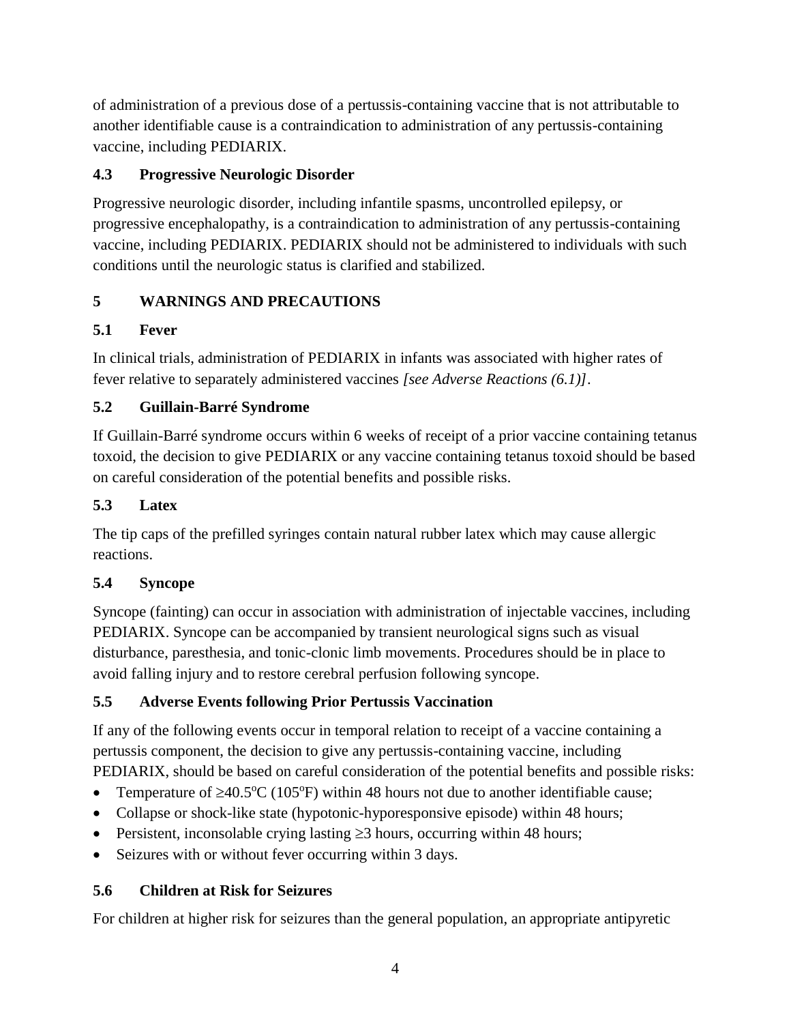of administration of a previous dose of a pertussis-containing vaccine that is not attributable to another identifiable cause is a contraindication to administration of any pertussis-containing vaccine, including PEDIARIX.

### <span id="page-3-0"></span>**4.3 Progressive Neurologic Disorder**

Progressive neurologic disorder, including infantile spasms, uncontrolled epilepsy, or progressive encephalopathy, is a contraindication to administration of any pertussis-containing vaccine, including PEDIARIX. PEDIARIX should not be administered to individuals with such conditions until the neurologic status is clarified and stabilized.

## <span id="page-3-1"></span>**5 WARNINGS AND PRECAUTIONS**

## <span id="page-3-2"></span>**5.1 Fever**

In clinical trials, administration of PEDIARIX in infants was associated with higher rates of fever relative to separately administered vaccines *[see Adverse Reactions (6.1)]*.

## <span id="page-3-3"></span>**5.2 Guillain-Barré Syndrome**

If Guillain-Barré syndrome occurs within 6 weeks of receipt of a prior vaccine containing tetanus toxoid, the decision to give PEDIARIX or any vaccine containing tetanus toxoid should be based on careful consideration of the potential benefits and possible risks.

### <span id="page-3-4"></span>**5.3 Latex**

The tip caps of the prefilled syringes contain natural rubber latex which may cause allergic reactions.

## <span id="page-3-5"></span>**5.4 Syncope**

Syncope (fainting) can occur in association with administration of injectable vaccines, including PEDIARIX. Syncope can be accompanied by transient neurological signs such as visual disturbance, paresthesia, and tonic-clonic limb movements. Procedures should be in place to avoid falling injury and to restore cerebral perfusion following syncope.

## <span id="page-3-6"></span>**5.5 Adverse Events following Prior Pertussis Vaccination**

If any of the following events occur in temporal relation to receipt of a vaccine containing a pertussis component, the decision to give any pertussis-containing vaccine, including PEDIARIX, should be based on careful consideration of the potential benefits and possible risks:

- Temperature of  $\geq 40.5^{\circ}C$  (105°F) within 48 hours not due to another identifiable cause;
- Collapse or shock-like state (hypotonic-hyporesponsive episode) within 48 hours;
- Persistent, inconsolable crying lasting  $\geq$  8 hours, occurring within 48 hours;
- Seizures with or without fever occurring within 3 days.

## <span id="page-3-7"></span>**5.6 Children at Risk for Seizures**

For children at higher risk for seizures than the general population, an appropriate antipyretic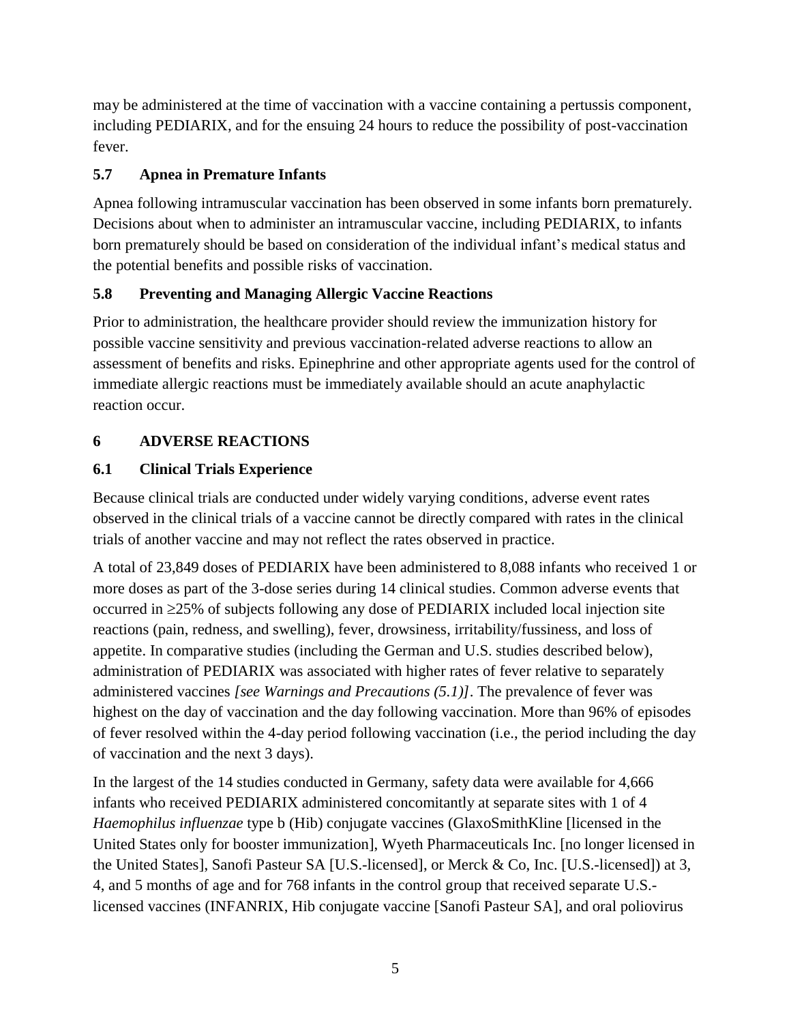may be administered at the time of vaccination with a vaccine containing a pertussis component, including PEDIARIX, and for the ensuing 24 hours to reduce the possibility of post-vaccination fever.

### <span id="page-4-0"></span>**5.7 Apnea in Premature Infants**

Apnea following intramuscular vaccination has been observed in some infants born prematurely. Decisions about when to administer an intramuscular vaccine, including PEDIARIX, to infants born prematurely should be based on consideration of the individual infant's medical status and the potential benefits and possible risks of vaccination.

### <span id="page-4-1"></span>**5.8 Preventing and Managing Allergic Vaccine Reactions**

Prior to administration, the healthcare provider should review the immunization history for possible vaccine sensitivity and previous vaccination-related adverse reactions to allow an assessment of benefits and risks. Epinephrine and other appropriate agents used for the control of immediate allergic reactions must be immediately available should an acute anaphylactic reaction occur.

### <span id="page-4-2"></span>**6 ADVERSE REACTIONS**

### <span id="page-4-3"></span>**6.1 Clinical Trials Experience**

Because clinical trials are conducted under widely varying conditions, adverse event rates observed in the clinical trials of a vaccine cannot be directly compared with rates in the clinical trials of another vaccine and may not reflect the rates observed in practice.

A total of 23,849 doses of PEDIARIX have been administered to 8,088 infants who received 1 or more doses as part of the 3-dose series during 14 clinical studies. Common adverse events that occurred in 25% of subjects following any dose of PEDIARIX included local injection site reactions (pain, redness, and swelling), fever, drowsiness, irritability/fussiness, and loss of appetite. In comparative studies (including the German and U.S. studies described below), administration of PEDIARIX was associated with higher rates of fever relative to separately administered vaccines *[see Warnings and Precautions (5.1)]*. The prevalence of fever was highest on the day of vaccination and the day following vaccination. More than 96% of episodes of fever resolved within the 4-day period following vaccination (i.e., the period including the day of vaccination and the next 3 days).

In the largest of the 14 studies conducted in Germany, safety data were available for 4,666 infants who received PEDIARIX administered concomitantly at separate sites with 1 of 4 *Haemophilus influenzae* type b (Hib) conjugate vaccines (GlaxoSmithKline [licensed in the United States only for booster immunization], Wyeth Pharmaceuticals Inc. [no longer licensed in the United States], Sanofi Pasteur SA [U.S.-licensed], or Merck & Co, Inc. [U.S.-licensed]) at 3, 4, and 5 months of age and for 768 infants in the control group that received separate U.S. licensed vaccines (INFANRIX, Hib conjugate vaccine [Sanofi Pasteur SA], and oral poliovirus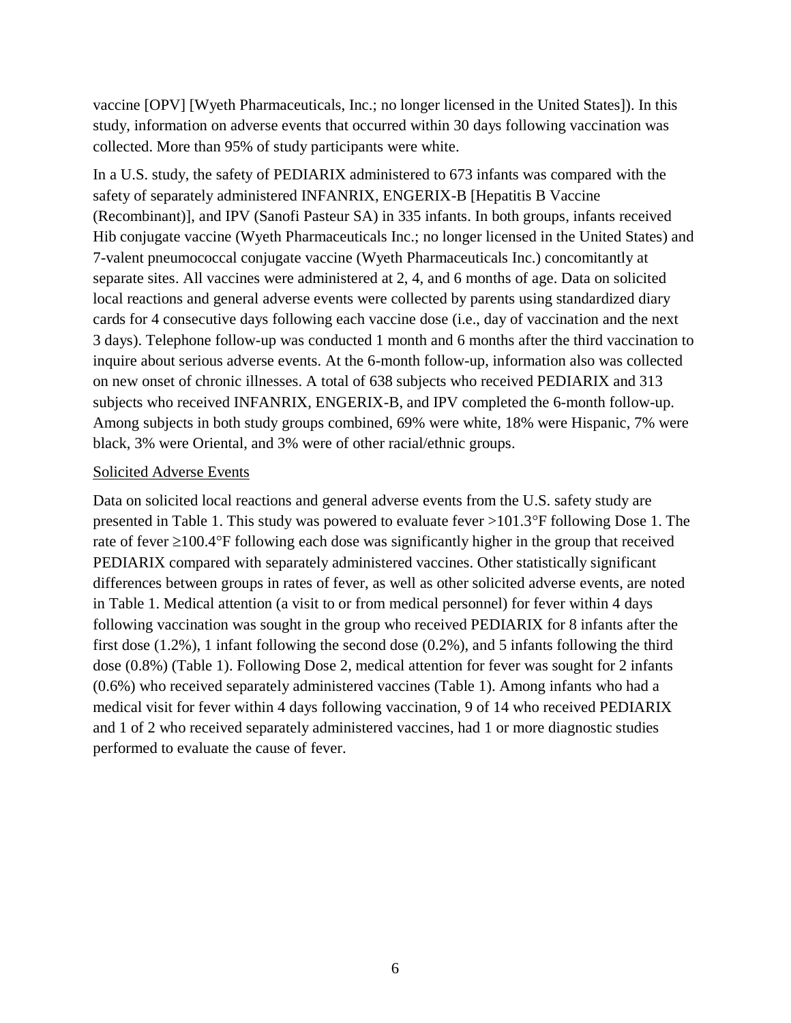vaccine [OPV] [Wyeth Pharmaceuticals, Inc.; no longer licensed in the United States]). In this study, information on adverse events that occurred within 30 days following vaccination was collected. More than 95% of study participants were white.

In a U.S. study, the safety of PEDIARIX administered to 673 infants was compared with the safety of separately administered INFANRIX, ENGERIX-B [Hepatitis B Vaccine (Recombinant)], and IPV (Sanofi Pasteur SA) in 335 infants. In both groups, infants received Hib conjugate vaccine (Wyeth Pharmaceuticals Inc.; no longer licensed in the United States) and 7-valent pneumococcal conjugate vaccine (Wyeth Pharmaceuticals Inc.) concomitantly at separate sites. All vaccines were administered at 2, 4, and 6 months of age. Data on solicited local reactions and general adverse events were collected by parents using standardized diary cards for 4 consecutive days following each vaccine dose (i.e., day of vaccination and the next 3 days). Telephone follow-up was conducted 1 month and 6 months after the third vaccination to inquire about serious adverse events. At the 6-month follow-up, information also was collected on new onset of chronic illnesses. A total of 638 subjects who received PEDIARIX and 313 subjects who received INFANRIX, ENGERIX-B, and IPV completed the 6-month follow-up. Among subjects in both study groups combined, 69% were white, 18% were Hispanic, 7% were black, 3% were Oriental, and 3% were of other racial/ethnic groups.

### Solicited Adverse Events

Data on solicited local reactions and general adverse events from the U.S. safety study are presented in Table 1. This study was powered to evaluate fever  $>101.3^{\circ}F$  following Dose 1. The rate of fever  $\geq 100.4$  F following each dose was significantly higher in the group that received PEDIARIX compared with separately administered vaccines. Other statistically significant differences between groups in rates of fever, as well as other solicited adverse events, are noted in Table 1. Medical attention (a visit to or from medical personnel) for fever within 4 days following vaccination was sought in the group who received PEDIARIX for 8 infants after the first dose (1.2%), 1 infant following the second dose (0.2%), and 5 infants following the third dose (0.8%) (Table 1). Following Dose 2, medical attention for fever was sought for 2 infants (0.6%) who received separately administered vaccines (Table 1). Among infants who had a medical visit for fever within 4 days following vaccination, 9 of 14 who received PEDIARIX and 1 of 2 who received separately administered vaccines, had 1 or more diagnostic studies performed to evaluate the cause of fever.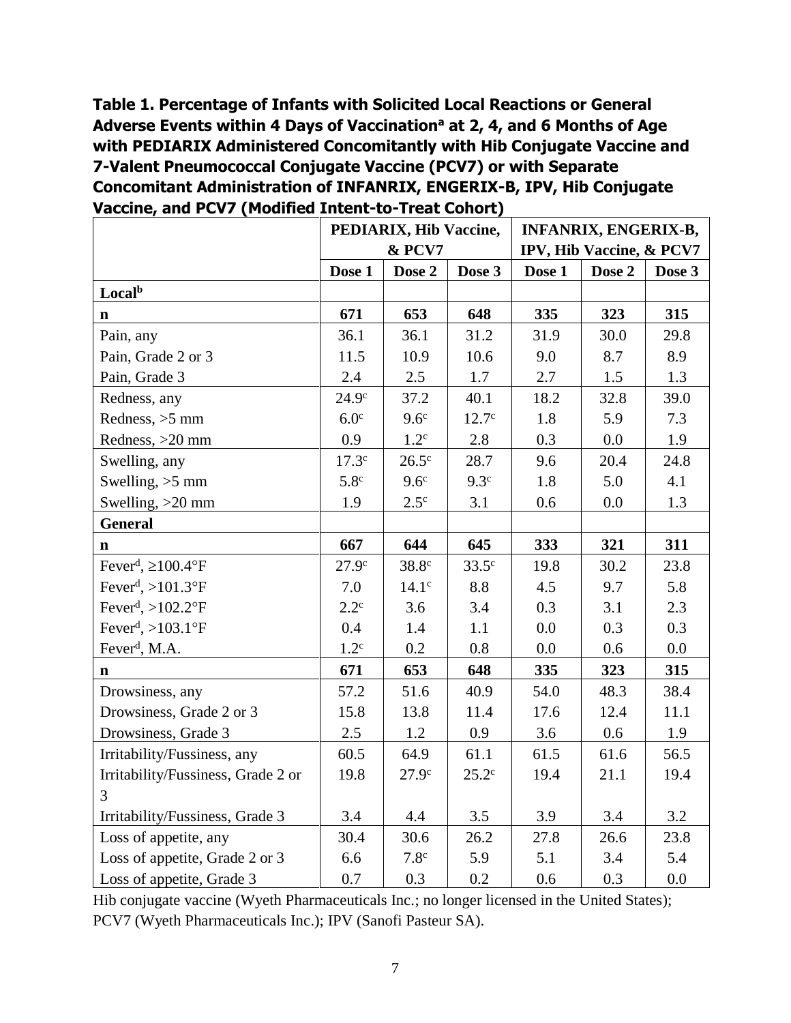**Table 1. Percentage of Infants with Solicited Local Reactions or General Adverse Events within 4 Days of Vaccination<sup>a</sup> at 2, 4, and 6 Months of Age with PEDIARIX Administered Concomitantly with Hib Conjugate Vaccine and 7-Valent Pneumococcal Conjugate Vaccine (PCV7) or with Separate Concomitant Administration of INFANRIX, ENGERIX-B, IPV, Hib Conjugate Vaccine, and PCV7 (Modified Intent-to-Treat Cohort)**

|                                      | PEDIARIX, Hib Vaccine, |                   |                   | <b>INFANRIX, ENGERIX-B,</b> |        |        |  |
|--------------------------------------|------------------------|-------------------|-------------------|-----------------------------|--------|--------|--|
|                                      | & PCV7                 |                   |                   | IPV, Hib Vaccine, & PCV7    |        |        |  |
|                                      | Dose 1                 | Dose 2            | Dose 3            | Dose 1                      | Dose 2 | Dose 3 |  |
| Local <sup>b</sup>                   |                        |                   |                   |                             |        |        |  |
| $\mathbf n$                          | 671                    | 653               | 648               | 335                         | 323    | 315    |  |
| Pain, any                            | 36.1                   | 36.1              | 31.2              | 31.9                        | 30.0   | 29.8   |  |
| Pain, Grade 2 or 3                   | 11.5                   | 10.9              | 10.6              | 9.0                         | 8.7    | 8.9    |  |
| Pain, Grade 3                        | 2.4                    | 2.5               | 1.7               | 2.7                         | 1.5    | 1.3    |  |
| Redness, any                         | 24.9 <sup>c</sup>      | 37.2              | 40.1              | 18.2                        | 32.8   | 39.0   |  |
| Redness, $>5$ mm                     | 6.0 <sup>c</sup>       | 9.6 <sup>c</sup>  | 12.7 <sup>c</sup> | 1.8                         | 5.9    | 7.3    |  |
| Redness, >20 mm                      | 0.9                    | $1.2^{\rm c}$     | 2.8               | 0.3                         | 0.0    | 1.9    |  |
| Swelling, any                        | 17.3 <sup>c</sup>      | $26.5^{\circ}$    | 28.7              | 9.6                         | 20.4   | 24.8   |  |
| Swelling, $>5$ mm                    | 5.8 <sup>c</sup>       | 9.6 <sup>c</sup>  | 9.3 <sup>c</sup>  | 1.8                         | 5.0    | 4.1    |  |
| Swelling, >20 mm                     | 1.9                    | $2.5^{\circ}$     | 3.1               | 0.6                         | 0.0    | 1.3    |  |
| <b>General</b>                       |                        |                   |                   |                             |        |        |  |
| n                                    | 667                    | 644               | 645               | 333                         | 321    | 311    |  |
| Fever <sup>d</sup> , $\geq 100.4$ °F | 27.9 <sup>c</sup>      | 38.8 <sup>c</sup> | 33.5 <sup>c</sup> | 19.8                        | 30.2   | 23.8   |  |
| Fever <sup>d</sup> , $>101.3$ °F     | 7.0                    | 14.1 <sup>c</sup> | 8.8               | 4.5                         | 9.7    | 5.8    |  |
| Fever <sup>d</sup> , $>102.2$ °F     | $2.2^{\circ}$          | 3.6               | 3.4               | 0.3                         | 3.1    | 2.3    |  |
| Fever <sup>d</sup> , >103.1°F        | 0.4                    | 1.4               | 1.1               | 0.0                         | 0.3    | 0.3    |  |
| Fever <sup>d</sup> , M.A.            | 1.2 <sup>c</sup>       | 0.2               | 0.8               | 0.0                         | 0.6    | 0.0    |  |
| $\mathbf n$                          | 671                    | 653               | 648               | 335                         | 323    | 315    |  |
| Drowsiness, any                      | 57.2                   | 51.6              | 40.9              | 54.0                        | 48.3   | 38.4   |  |
| Drowsiness, Grade 2 or 3             | 15.8                   | 13.8              | 11.4              | 17.6                        | 12.4   | 11.1   |  |
| Drowsiness, Grade 3                  | 2.5                    | 1.2               | 0.9               | 3.6                         | 0.6    | 1.9    |  |
| Irritability/Fussiness, any          | 60.5                   | 64.9              | 61.1              | 61.5                        | 61.6   | 56.5   |  |
| Irritability/Fussiness, Grade 2 or   | 19.8                   | 27.9 <sup>c</sup> | 25.2 <sup>c</sup> | 19.4                        | 21.1   | 19.4   |  |
| 3                                    |                        |                   |                   |                             |        |        |  |
| Irritability/Fussiness, Grade 3      | 3.4                    | 4.4               | 3.5               | 3.9                         | 3.4    | 3.2    |  |
| Loss of appetite, any                | 30.4                   | 30.6              | 26.2              | 27.8                        | 26.6   | 23.8   |  |
| Loss of appetite, Grade 2 or 3       | 6.6                    | 7.8 <sup>c</sup>  | 5.9               | 5.1                         | 3.4    | 5.4    |  |
| Loss of appetite, Grade 3            | 0.7                    | 0.3               | 0.2               | 0.6                         | 0.3    | 0.0    |  |

Hib conjugate vaccine (Wyeth Pharmaceuticals Inc.; no longer licensed in the United States); PCV7 (Wyeth Pharmaceuticals Inc.); IPV (Sanofi Pasteur SA).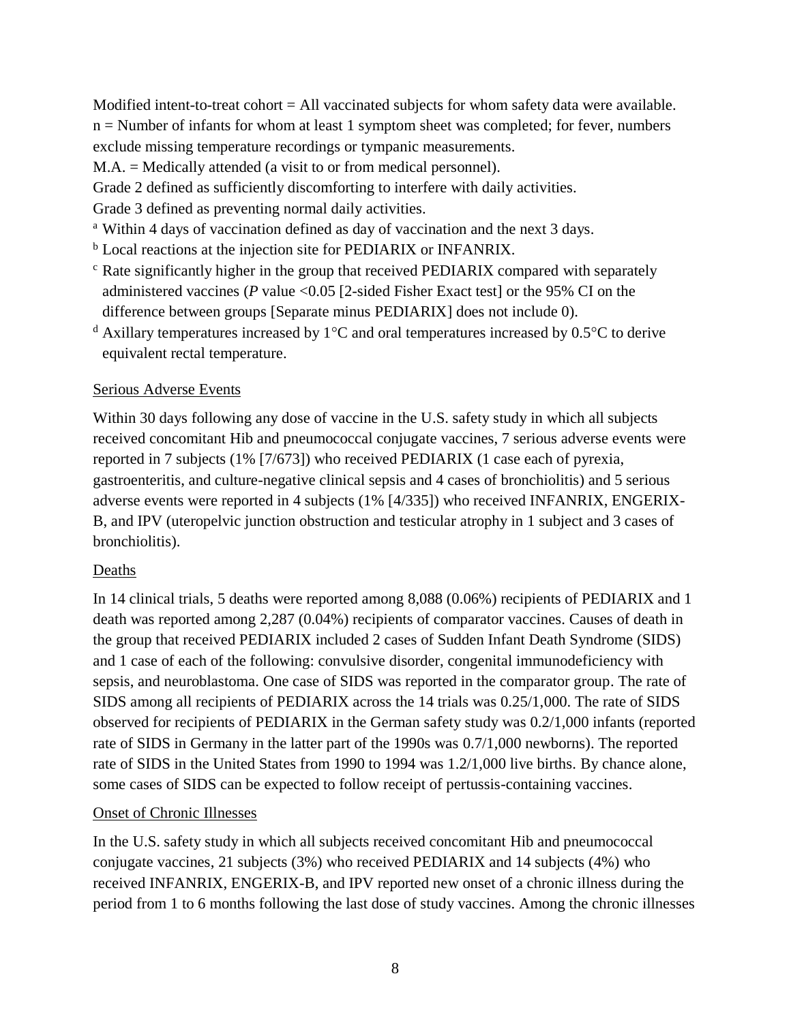Modified intent-to-treat cohort  $=$  All vaccinated subjects for whom safety data were available. n = Number of infants for whom at least 1 symptom sheet was completed; for fever, numbers exclude missing temperature recordings or tympanic measurements.

M.A. = Medically attended (a visit to or from medical personnel).

Grade 2 defined as sufficiently discomforting to interfere with daily activities.

Grade 3 defined as preventing normal daily activities.

<sup>a</sup> Within 4 days of vaccination defined as day of vaccination and the next 3 days.

- <sup>b</sup> Local reactions at the injection site for PEDIARIX or INFANRIX.
- <sup>c</sup> Rate significantly higher in the group that received PEDIARIX compared with separately administered vaccines (*P* value <0.05 [2-sided Fisher Exact test] or the 95% CI on the difference between groups [Separate minus PEDIARIX] does not include 0).
- $d$  Axillary temperatures increased by 1°C and oral temperatures increased by 0.5°C to derive equivalent rectal temperature.

### Serious Adverse Events

Within 30 days following any dose of vaccine in the U.S. safety study in which all subjects received concomitant Hib and pneumococcal conjugate vaccines, 7 serious adverse events were reported in 7 subjects (1% [7/673]) who received PEDIARIX (1 case each of pyrexia, gastroenteritis, and culture-negative clinical sepsis and 4 cases of bronchiolitis) and 5 serious adverse events were reported in 4 subjects (1% [4/335]) who received INFANRIX, ENGERIX-B, and IPV (uteropelvic junction obstruction and testicular atrophy in 1 subject and 3 cases of bronchiolitis).

### Deaths

In 14 clinical trials, 5 deaths were reported among 8,088 (0.06%) recipients of PEDIARIX and 1 death was reported among 2,287 (0.04%) recipients of comparator vaccines. Causes of death in the group that received PEDIARIX included 2 cases of Sudden Infant Death Syndrome (SIDS) and 1 case of each of the following: convulsive disorder, congenital immunodeficiency with sepsis, and neuroblastoma. One case of SIDS was reported in the comparator group. The rate of SIDS among all recipients of PEDIARIX across the 14 trials was 0.25/1,000. The rate of SIDS observed for recipients of PEDIARIX in the German safety study was 0.2/1,000 infants (reported rate of SIDS in Germany in the latter part of the 1990s was 0.7/1,000 newborns). The reported rate of SIDS in the United States from 1990 to 1994 was 1.2/1,000 live births. By chance alone, some cases of SIDS can be expected to follow receipt of pertussis-containing vaccines.

### Onset of Chronic Illnesses

In the U.S. safety study in which all subjects received concomitant Hib and pneumococcal conjugate vaccines, 21 subjects (3%) who received PEDIARIX and 14 subjects (4%) who received INFANRIX, ENGERIX-B, and IPV reported new onset of a chronic illness during the period from 1 to 6 months following the last dose of study vaccines. Among the chronic illnesses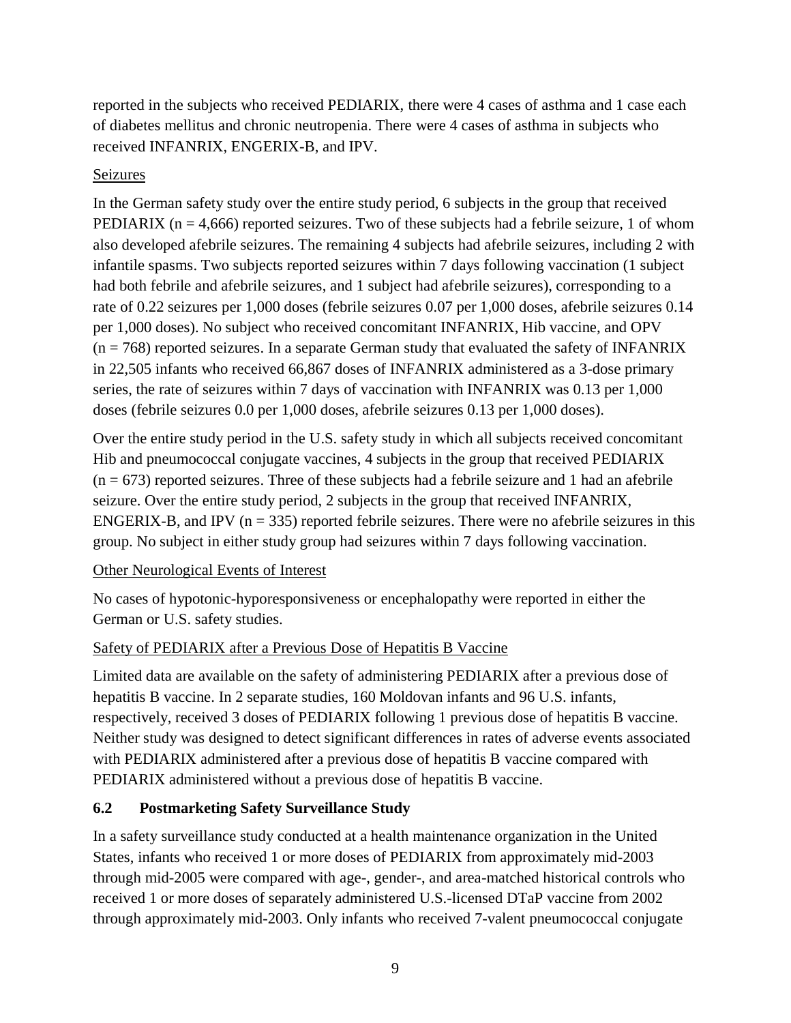reported in the subjects who received PEDIARIX, there were 4 cases of asthma and 1 case each of diabetes mellitus and chronic neutropenia. There were 4 cases of asthma in subjects who received INFANRIX, ENGERIX-B, and IPV.

### Seizures

In the German safety study over the entire study period, 6 subjects in the group that received PEDIARIX ( $n = 4,666$ ) reported seizures. Two of these subjects had a febrile seizure, 1 of whom also developed afebrile seizures. The remaining 4 subjects had afebrile seizures, including 2 with infantile spasms. Two subjects reported seizures within 7 days following vaccination (1 subject had both febrile and afebrile seizures, and 1 subject had afebrile seizures), corresponding to a rate of 0.22 seizures per 1,000 doses (febrile seizures 0.07 per 1,000 doses, afebrile seizures 0.14 per 1,000 doses). No subject who received concomitant INFANRIX, Hib vaccine, and OPV  $(n = 768)$  reported seizures. In a separate German study that evaluated the safety of INFANRIX in 22,505 infants who received 66,867 doses of INFANRIX administered as a 3-dose primary series, the rate of seizures within 7 days of vaccination with INFANRIX was 0.13 per 1,000 doses (febrile seizures 0.0 per 1,000 doses, afebrile seizures 0.13 per 1,000 doses).

Over the entire study period in the U.S. safety study in which all subjects received concomitant Hib and pneumococcal conjugate vaccines, 4 subjects in the group that received PEDIARIX  $(n = 673)$  reported seizures. Three of these subjects had a febrile seizure and 1 had an afebrile seizure. Over the entire study period, 2 subjects in the group that received INFANRIX, ENGERIX-B, and IPV ( $n = 335$ ) reported febrile seizures. There were no afebrile seizures in this group. No subject in either study group had seizures within 7 days following vaccination.

### Other Neurological Events of Interest

No cases of hypotonic-hyporesponsiveness or encephalopathy were reported in either the German or U.S. safety studies.

### Safety of PEDIARIX after a Previous Dose of Hepatitis B Vaccine

Limited data are available on the safety of administering PEDIARIX after a previous dose of hepatitis B vaccine. In 2 separate studies, 160 Moldovan infants and 96 U.S. infants, respectively, received 3 doses of PEDIARIX following 1 previous dose of hepatitis B vaccine. Neither study was designed to detect significant differences in rates of adverse events associated with PEDIARIX administered after a previous dose of hepatitis B vaccine compared with PEDIARIX administered without a previous dose of hepatitis B vaccine.

### <span id="page-8-0"></span>**6.2 Postmarketing Safety Surveillance Study**

In a safety surveillance study conducted at a health maintenance organization in the United States, infants who received 1 or more doses of PEDIARIX from approximately mid-2003 through mid-2005 were compared with age-, gender-, and area-matched historical controls who received 1 or more doses of separately administered U.S.-licensed DTaP vaccine from 2002 through approximately mid-2003. Only infants who received 7-valent pneumococcal conjugate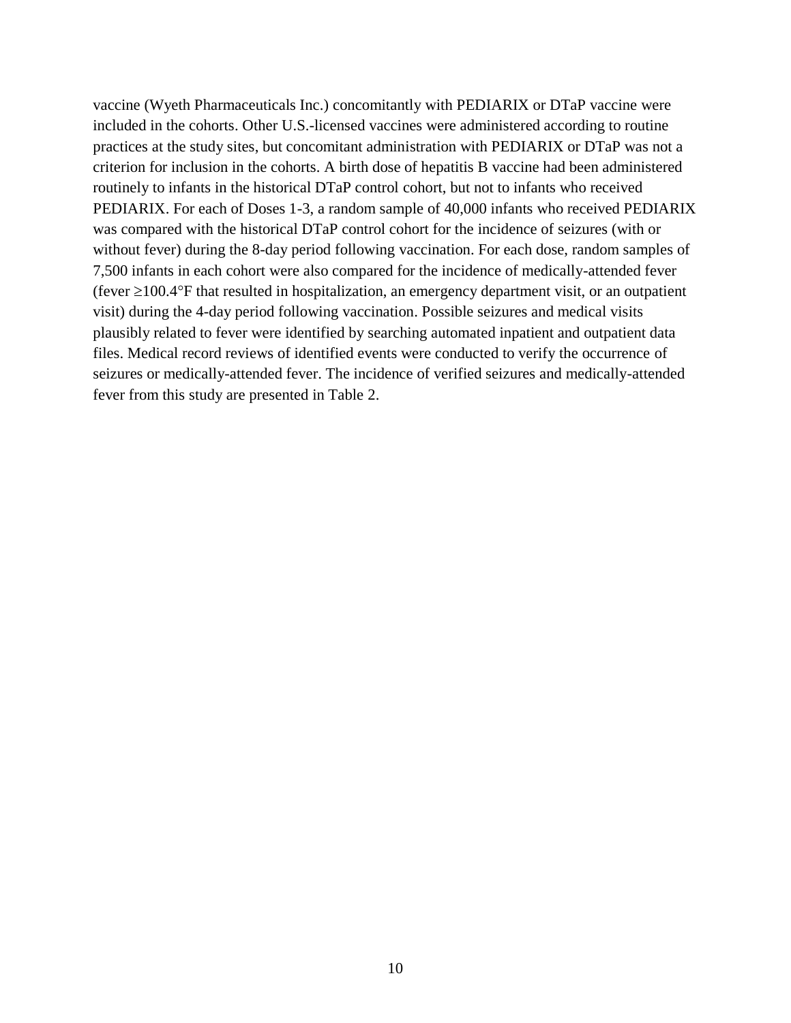vaccine (Wyeth Pharmaceuticals Inc.) concomitantly with PEDIARIX or DTaP vaccine were included in the cohorts. Other U.S.-licensed vaccines were administered according to routine practices at the study sites, but concomitant administration with PEDIARIX or DTaP was not a criterion for inclusion in the cohorts. A birth dose of hepatitis B vaccine had been administered routinely to infants in the historical DTaP control cohort, but not to infants who received PEDIARIX. For each of Doses 1-3, a random sample of 40,000 infants who received PEDIARIX was compared with the historical DTaP control cohort for the incidence of seizures (with or without fever) during the 8-day period following vaccination. For each dose, random samples of 7,500 infants in each cohort were also compared for the incidence of medically-attended fever (fever  $\geq 100.4$ °F that resulted in hospitalization, an emergency department visit, or an outpatient visit) during the 4-day period following vaccination. Possible seizures and medical visits plausibly related to fever were identified by searching automated inpatient and outpatient data files. Medical record reviews of identified events were conducted to verify the occurrence of seizures or medically-attended fever. The incidence of verified seizures and medically-attended fever from this study are presented in Table 2.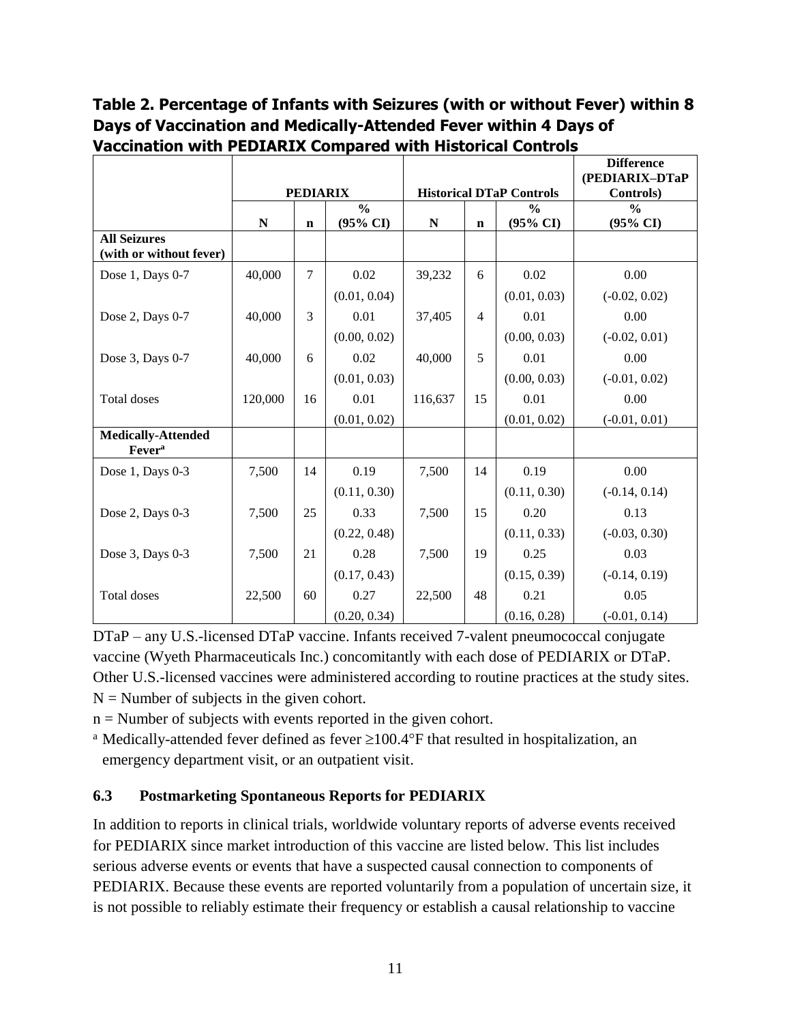# **Table 2. Percentage of Infants with Seizures (with or without Fever) within 8 Days of Vaccination and Medically-Attended Fever within 4 Days of Vaccination with PEDIARIX Compared with Historical Controls**

|                                                        |                 |                |                                 |               |                |                             | <b>Difference</b>   |  |
|--------------------------------------------------------|-----------------|----------------|---------------------------------|---------------|----------------|-----------------------------|---------------------|--|
|                                                        | <b>PEDIARIX</b> |                | <b>Historical DTaP Controls</b> |               |                | (PEDIARIX-DTaP<br>Controls) |                     |  |
|                                                        |                 |                | $\frac{0}{0}$                   | $\frac{0}{0}$ |                |                             | $\frac{0}{0}$       |  |
| <b>All Seizures</b>                                    | $\mathbf N$     | $\mathbf n$    | $(95\% \text{ CI})$             | N             | $\mathbf n$    | (95% CI)                    | $(95\% \text{ CI})$ |  |
| (with or without fever)                                |                 |                |                                 |               |                |                             |                     |  |
| Dose 1, Days 0-7                                       | 40,000          | $\overline{7}$ | 0.02                            | 39,232        | 6              | 0.02                        | 0.00                |  |
|                                                        |                 |                | (0.01, 0.04)                    |               |                | (0.01, 0.03)                | $(-0.02, 0.02)$     |  |
| Dose 2, Days 0-7                                       | 40,000          | 3              | 0.01                            | 37,405        | $\overline{4}$ | 0.01                        | 0.00                |  |
|                                                        |                 |                | (0.00, 0.02)                    |               |                | (0.00, 0.03)                | $(-0.02, 0.01)$     |  |
| Dose 3, Days 0-7                                       | 40,000          | 6              | 0.02                            | 40,000        | 5              | 0.01                        | 0.00                |  |
|                                                        |                 |                | (0.01, 0.03)                    |               |                | (0.00, 0.03)                | $(-0.01, 0.02)$     |  |
| Total doses                                            | 120,000         | 16             | 0.01                            | 116,637       | 15             | 0.01                        | 0.00                |  |
|                                                        |                 |                | (0.01, 0.02)                    |               |                | (0.01, 0.02)                | $(-0.01, 0.01)$     |  |
| <b>Medically-Attended</b><br><b>Fever</b> <sup>a</sup> |                 |                |                                 |               |                |                             |                     |  |
| Dose 1, Days 0-3                                       | 7,500           | 14             | 0.19                            | 7,500         | 14             | 0.19                        | 0.00                |  |
|                                                        |                 |                | (0.11, 0.30)                    |               |                | (0.11, 0.30)                | $(-0.14, 0.14)$     |  |
| Dose 2, Days 0-3                                       | 7,500           | 25             | 0.33                            | 7,500         | 15             | 0.20                        | 0.13                |  |
|                                                        |                 |                | (0.22, 0.48)                    |               |                | (0.11, 0.33)                | $(-0.03, 0.30)$     |  |
| Dose 3, Days 0-3                                       | 7,500           | 21             | 0.28                            | 7,500         | 19             | 0.25                        | 0.03                |  |
|                                                        |                 |                | (0.17, 0.43)                    |               |                | (0.15, 0.39)                | $(-0.14, 0.19)$     |  |
| Total doses                                            | 22,500          | 60             | 0.27                            | 22,500        | 48             | 0.21                        | 0.05                |  |
|                                                        |                 |                | (0.20, 0.34)                    |               |                | (0.16, 0.28)                | $(-0.01, 0.14)$     |  |

DTaP – any U.S.-licensed DTaP vaccine. Infants received 7-valent pneumococcal conjugate vaccine (Wyeth Pharmaceuticals Inc.) concomitantly with each dose of PEDIARIX or DTaP. Other U.S.-licensed vaccines were administered according to routine practices at the study sites.  $N =$  Number of subjects in the given cohort.

n = Number of subjects with events reported in the given cohort.

<sup>a</sup> Medically-attended fever defined as fever  $\geq 100.4$  F that resulted in hospitalization, an emergency department visit, or an outpatient visit.

## <span id="page-10-0"></span>**6.3 Postmarketing Spontaneous Reports for PEDIARIX**

In addition to reports in clinical trials, worldwide voluntary reports of adverse events received for PEDIARIX since market introduction of this vaccine are listed below. This list includes serious adverse events or events that have a suspected causal connection to components of PEDIARIX. Because these events are reported voluntarily from a population of uncertain size, it is not possible to reliably estimate their frequency or establish a causal relationship to vaccine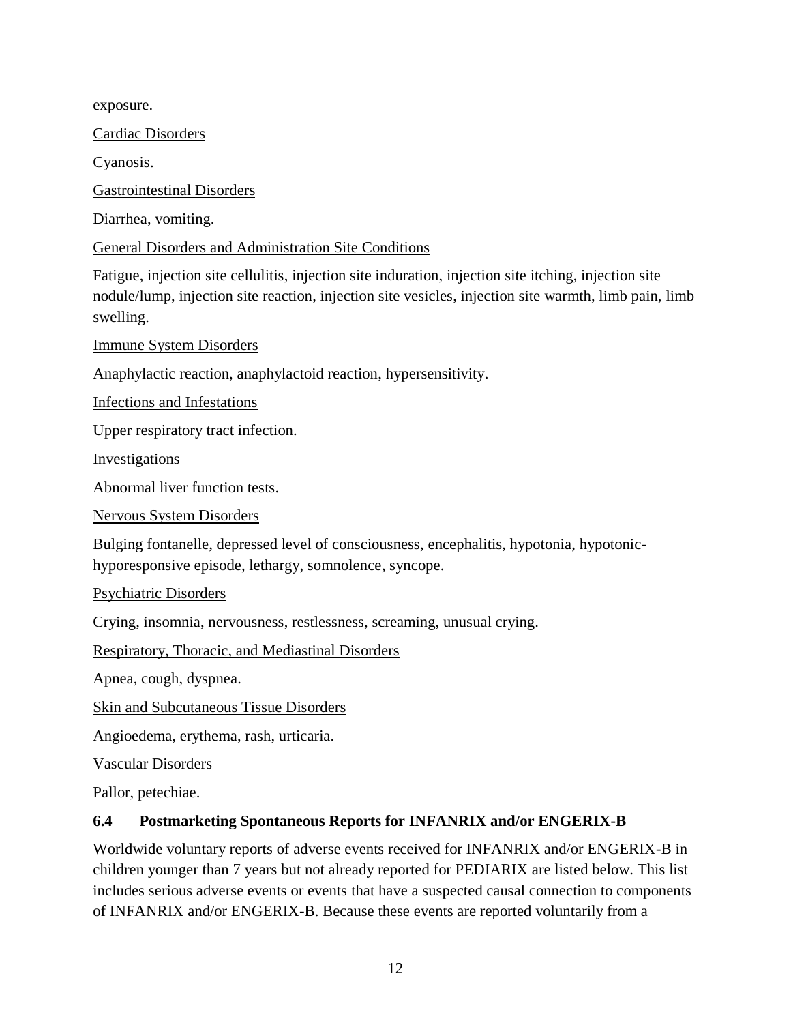exposure.

Cardiac Disorders

Cyanosis.

Gastrointestinal Disorders

Diarrhea, vomiting.

General Disorders and Administration Site Conditions

Fatigue, injection site cellulitis, injection site induration, injection site itching, injection site nodule/lump, injection site reaction, injection site vesicles, injection site warmth, limb pain, limb swelling.

Immune System Disorders

Anaphylactic reaction, anaphylactoid reaction, hypersensitivity.

Infections and Infestations

Upper respiratory tract infection.

Investigations

Abnormal liver function tests.

Nervous System Disorders

Bulging fontanelle, depressed level of consciousness, encephalitis, hypotonia, hypotonichyporesponsive episode, lethargy, somnolence, syncope.

Psychiatric Disorders

Crying, insomnia, nervousness, restlessness, screaming, unusual crying.

Respiratory, Thoracic, and Mediastinal Disorders

Apnea, cough, dyspnea.

Skin and Subcutaneous Tissue Disorders

Angioedema, erythema, rash, urticaria.

Vascular Disorders

Pallor, petechiae.

### <span id="page-11-0"></span>**6.4 Postmarketing Spontaneous Reports for INFANRIX and/or ENGERIX-B**

Worldwide voluntary reports of adverse events received for INFANRIX and/or ENGERIX-B in children younger than 7 years but not already reported for PEDIARIX are listed below. This list includes serious adverse events or events that have a suspected causal connection to components of INFANRIX and/or ENGERIX-B. Because these events are reported voluntarily from a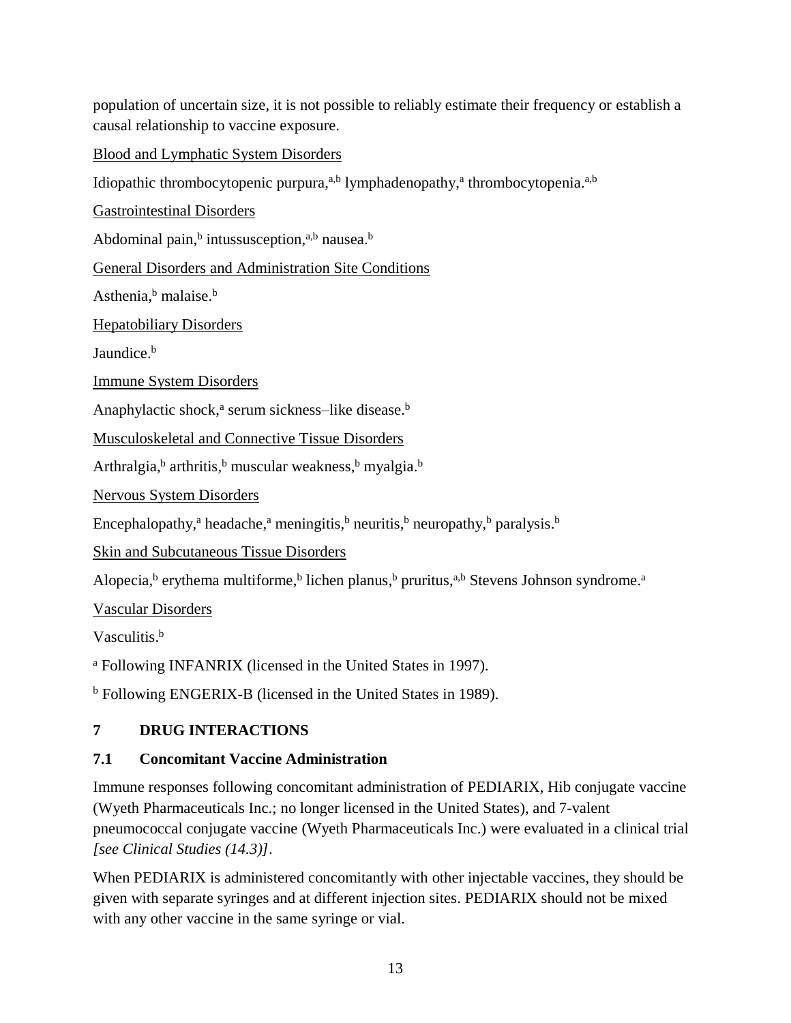population of uncertain size, it is not possible to reliably estimate their frequency or establish a causal relationship to vaccine exposure.

Blood and Lymphatic System Disorders

Idiopathic thrombocytopenic purpura,<sup>a,b</sup> lymphadenopathy,<sup>a</sup> thrombocytopenia.<sup>a,b</sup>

Gastrointestinal Disorders

Abdominal pain,<sup>b</sup> intussusception,<sup>a,b</sup> nausea.<sup>b</sup>

General Disorders and Administration Site Conditions

Asthenia, <sup>b</sup> malaise. b

**Hepatobiliary Disorders** 

Jaundice.<sup>b</sup>

Immune System Disorders

Anaphylactic shock,<sup>a</sup> serum sickness-like disease.<sup>b</sup>

Musculoskeletal and Connective Tissue Disorders

Arthralgia,<sup>b</sup> arthritis,<sup>b</sup> muscular weakness,<sup>b</sup> myalgia.<sup>b</sup>

Nervous System Disorders

Encephalopathy,<sup>a</sup> headache,<sup>a</sup> meningitis,<sup>b</sup> neuritis,<sup>b</sup> neuropathy,<sup>b</sup> paralysis.<sup>b</sup>

Skin and Subcutaneous Tissue Disorders

Alopecia,<sup>b</sup> erythema multiforme, <sup>b</sup> lichen planus, <sup>b</sup> pruritus, <sup>a,b</sup> Stevens Johnson syndrome.<sup>a</sup>

Vascular Disorders

Vasculitis. b

<sup>a</sup> Following INFANRIX (licensed in the United States in 1997).

<span id="page-12-0"></span><sup>b</sup> Following ENGERIX-B (licensed in the United States in 1989).

### **7 DRUG INTERACTIONS**

### <span id="page-12-1"></span>**7.1 Concomitant Vaccine Administration**

Immune responses following concomitant administration of PEDIARIX, Hib conjugate vaccine (Wyeth Pharmaceuticals Inc.; no longer licensed in the United States), and 7-valent pneumococcal conjugate vaccine (Wyeth Pharmaceuticals Inc.) were evaluated in a clinical trial *[see Clinical Studies (14.3)]*.

When PEDIARIX is administered concomitantly with other injectable vaccines, they should be given with separate syringes and at different injection sites. PEDIARIX should not be mixed with any other vaccine in the same syringe or vial.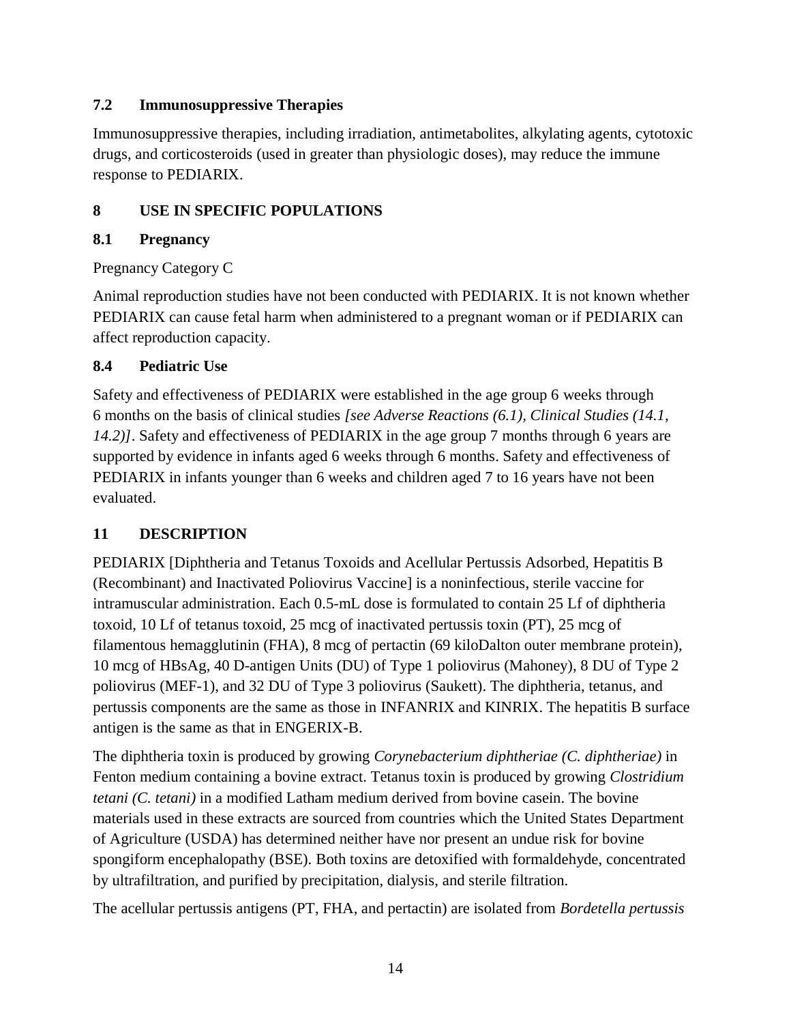### <span id="page-13-0"></span>**7.2 Immunosuppressive Therapies**

Immunosuppressive therapies, including irradiation, antimetabolites, alkylating agents, cytotoxic drugs, and corticosteroids (used in greater than physiologic doses), may reduce the immune response to PEDIARIX.

## <span id="page-13-1"></span>**8 USE IN SPECIFIC POPULATIONS**

### <span id="page-13-2"></span>**8.1 Pregnancy**

Pregnancy Category C

Animal reproduction studies have not been conducted with PEDIARIX. It is not known whether PEDIARIX can cause fetal harm when administered to a pregnant woman or if PEDIARIX can affect reproduction capacity.

## <span id="page-13-3"></span>**8.4 Pediatric Use**

Safety and effectiveness of PEDIARIX were established in the age group 6 weeks through 6 months on the basis of clinical studies *[see Adverse Reactions (6.1), Clinical Studies (14.1, 14.2)]*. Safety and effectiveness of PEDIARIX in the age group 7 months through 6 years are supported by evidence in infants aged 6 weeks through 6 months. Safety and effectiveness of PEDIARIX in infants younger than 6 weeks and children aged 7 to 16 years have not been evaluated.

## <span id="page-13-4"></span>**11 DESCRIPTION**

PEDIARIX [Diphtheria and Tetanus Toxoids and Acellular Pertussis Adsorbed, Hepatitis B (Recombinant) and Inactivated Poliovirus Vaccine] is a noninfectious, sterile vaccine for intramuscular administration. Each 0.5-mL dose is formulated to contain 25 Lf of diphtheria toxoid, 10 Lf of tetanus toxoid, 25 mcg of inactivated pertussis toxin (PT), 25 mcg of filamentous hemagglutinin (FHA), 8 mcg of pertactin (69 kiloDalton outer membrane protein), 10 mcg of HBsAg, 40 D-antigen Units (DU) of Type 1 poliovirus (Mahoney), 8 DU of Type 2 poliovirus (MEF-1), and 32 DU of Type 3 poliovirus (Saukett). The diphtheria, tetanus, and pertussis components are the same as those in INFANRIX and KINRIX. The hepatitis B surface antigen is the same as that in ENGERIX-B.

The diphtheria toxin is produced by growing *Corynebacterium diphtheriae (C. diphtheriae)* in Fenton medium containing a bovine extract. Tetanus toxin is produced by growing *Clostridium tetani (C. tetani)* in a modified Latham medium derived from bovine casein. The bovine materials used in these extracts are sourced from countries which the United States Department of Agriculture (USDA) has determined neither have nor present an undue risk for bovine spongiform encephalopathy (BSE). Both toxins are detoxified with formaldehyde, concentrated by ultrafiltration, and purified by precipitation, dialysis, and sterile filtration.

The acellular pertussis antigens (PT, FHA, and pertactin) are isolated from *Bordetella pertussis*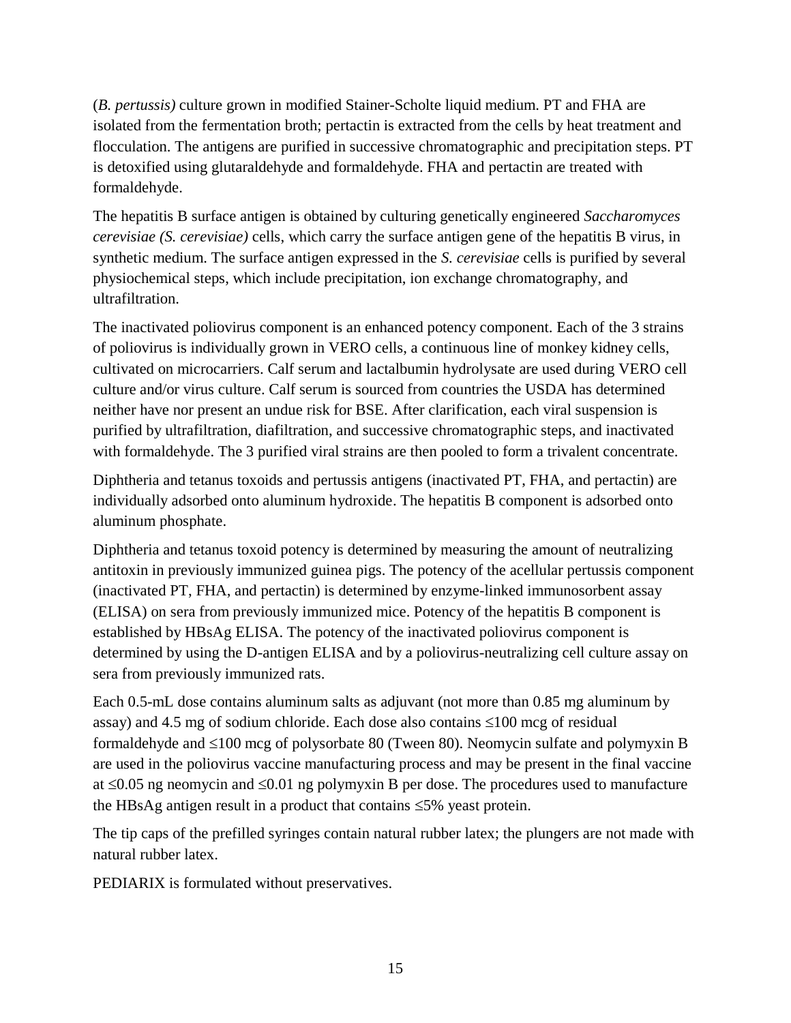(*B. pertussis)* culture grown in modified Stainer-Scholte liquid medium. PT and FHA are isolated from the fermentation broth; pertactin is extracted from the cells by heat treatment and flocculation. The antigens are purified in successive chromatographic and precipitation steps. PT is detoxified using glutaraldehyde and formaldehyde. FHA and pertactin are treated with formaldehyde.

The hepatitis B surface antigen is obtained by culturing genetically engineered *Saccharomyces cerevisiae (S. cerevisiae)* cells, which carry the surface antigen gene of the hepatitis B virus, in synthetic medium. The surface antigen expressed in the *S. cerevisiae* cells is purified by several physiochemical steps, which include precipitation, ion exchange chromatography, and ultrafiltration.

The inactivated poliovirus component is an enhanced potency component. Each of the 3 strains of poliovirus is individually grown in VERO cells, a continuous line of monkey kidney cells, cultivated on microcarriers. Calf serum and lactalbumin hydrolysate are used during VERO cell culture and/or virus culture. Calf serum is sourced from countries the USDA has determined neither have nor present an undue risk for BSE. After clarification, each viral suspension is purified by ultrafiltration, diafiltration, and successive chromatographic steps, and inactivated with formaldehyde. The 3 purified viral strains are then pooled to form a trivalent concentrate.

Diphtheria and tetanus toxoids and pertussis antigens (inactivated PT, FHA, and pertactin) are individually adsorbed onto aluminum hydroxide. The hepatitis B component is adsorbed onto aluminum phosphate.

Diphtheria and tetanus toxoid potency is determined by measuring the amount of neutralizing antitoxin in previously immunized guinea pigs. The potency of the acellular pertussis component (inactivated PT, FHA, and pertactin) is determined by enzyme-linked immunosorbent assay (ELISA) on sera from previously immunized mice. Potency of the hepatitis B component is established by HBsAg ELISA. The potency of the inactivated poliovirus component is determined by using the D-antigen ELISA and by a poliovirus-neutralizing cell culture assay on sera from previously immunized rats.

Each 0.5-mL dose contains aluminum salts as adjuvant (not more than 0.85 mg aluminum by assay) and 4.5 mg of sodium chloride. Each dose also contains  $\leq 100$  mcg of residual formaldehyde and  $\leq 100$  mcg of polysorbate 80 (Tween 80). Neomycin sulfate and polymyxin B are used in the poliovirus vaccine manufacturing process and may be present in the final vaccine at  $\leq 0.05$  ng neomycin and  $\leq 0.01$  ng polymyxin B per dose. The procedures used to manufacture the HBsAg antigen result in a product that contains  $\leq$ 5% yeast protein.

The tip caps of the prefilled syringes contain natural rubber latex; the plungers are not made with natural rubber latex.

PEDIARIX is formulated without preservatives.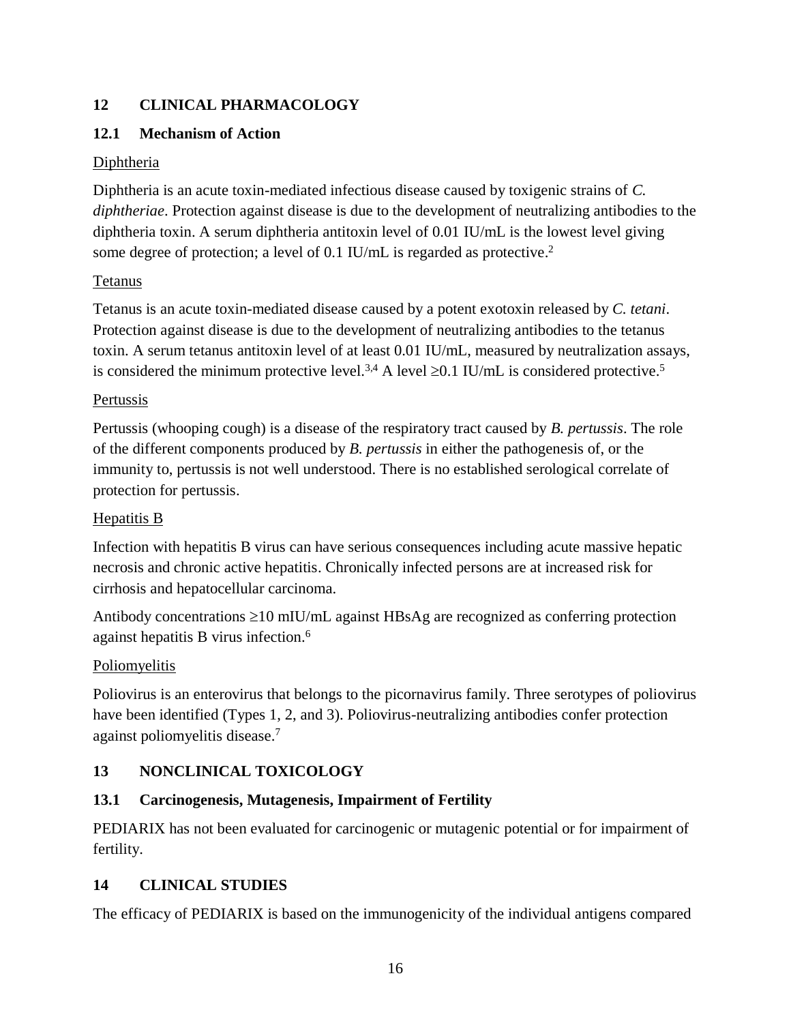### <span id="page-15-0"></span>**12 CLINICAL PHARMACOLOGY**

### <span id="page-15-1"></span>**12.1 Mechanism of Action**

### **Diphtheria**

Diphtheria is an acute toxin-mediated infectious disease caused by toxigenic strains of *C. diphtheriae*. Protection against disease is due to the development of neutralizing antibodies to the diphtheria toxin. A serum diphtheria antitoxin level of 0.01 IU/mL is the lowest level giving some degree of protection; a level of 0.1 IU/mL is regarded as protective. 2

### **Tetanus**

Tetanus is an acute toxin-mediated disease caused by a potent exotoxin released by *C. tetani*. Protection against disease is due to the development of neutralizing antibodies to the tetanus toxin. A serum tetanus antitoxin level of at least 0.01 IU/mL, measured by neutralization assays, is considered the minimum protective level.<sup>3,4</sup> A level  $\geq$ 0.1 IU/mL is considered protective.<sup>5</sup>

### Pertussis

Pertussis (whooping cough) is a disease of the respiratory tract caused by *B. pertussis*. The role of the different components produced by *B. pertussis* in either the pathogenesis of, or the immunity to, pertussis is not well understood. There is no established serological correlate of protection for pertussis.

### Hepatitis B

Infection with hepatitis B virus can have serious consequences including acute massive hepatic necrosis and chronic active hepatitis. Chronically infected persons are at increased risk for cirrhosis and hepatocellular carcinoma.

Antibody concentrations  $\geq 10$  mIU/mL against HBsAg are recognized as conferring protection against hepatitis B virus infection. 6

### **Poliomyelitis**

Poliovirus is an enterovirus that belongs to the picornavirus family. Three serotypes of poliovirus have been identified (Types 1, 2, and 3). Poliovirus-neutralizing antibodies confer protection against poliomyelitis disease.<sup>7</sup>

### <span id="page-15-2"></span>**13 NONCLINICAL TOXICOLOGY**

### <span id="page-15-3"></span>**13.1 Carcinogenesis, Mutagenesis, Impairment of Fertility**

PEDIARIX has not been evaluated for carcinogenic or mutagenic potential or for impairment of fertility.

## <span id="page-15-4"></span>**14 CLINICAL STUDIES**

The efficacy of PEDIARIX is based on the immunogenicity of the individual antigens compared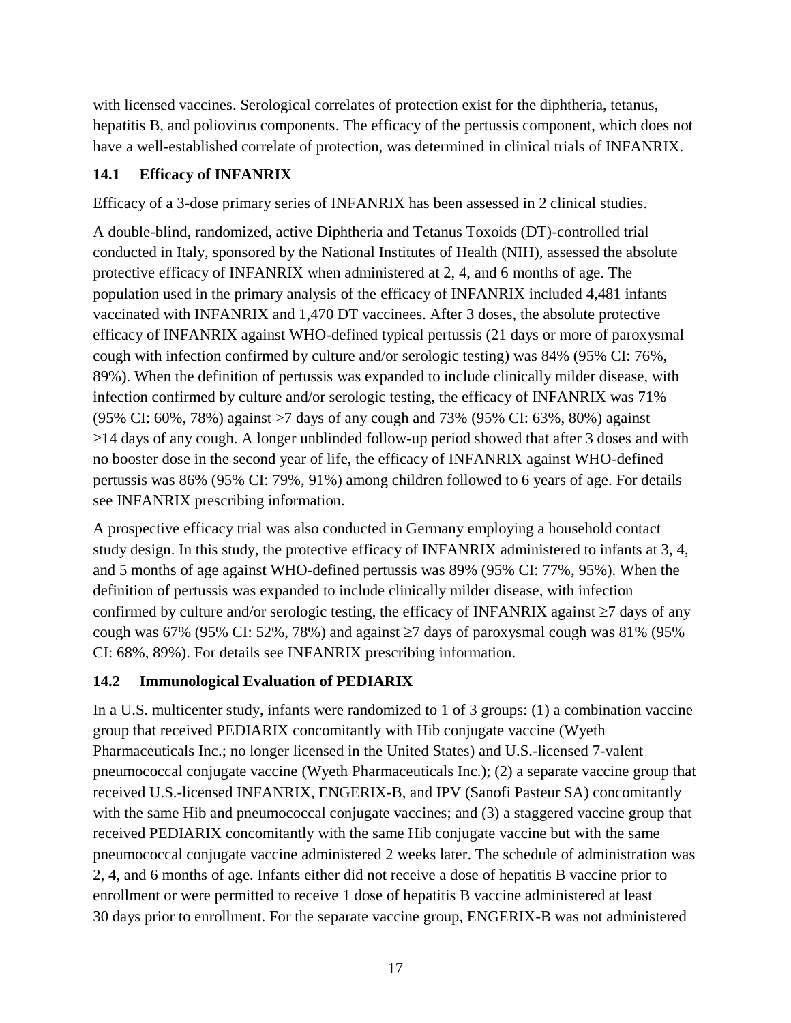with licensed vaccines. Serological correlates of protection exist for the diphtheria, tetanus, hepatitis B, and poliovirus components. The efficacy of the pertussis component, which does not have a well-established correlate of protection, was determined in clinical trials of INFANRIX.

### <span id="page-16-0"></span>**14.1 Efficacy of INFANRIX**

Efficacy of a 3-dose primary series of INFANRIX has been assessed in 2 clinical studies.

A double-blind, randomized, active Diphtheria and Tetanus Toxoids (DT)-controlled trial conducted in Italy, sponsored by the National Institutes of Health (NIH), assessed the absolute protective efficacy of INFANRIX when administered at 2, 4, and 6 months of age. The population used in the primary analysis of the efficacy of INFANRIX included 4,481 infants vaccinated with INFANRIX and 1,470 DT vaccinees. After 3 doses, the absolute protective efficacy of INFANRIX against WHO-defined typical pertussis (21 days or more of paroxysmal cough with infection confirmed by culture and/or serologic testing) was 84% (95% CI: 76%, 89%). When the definition of pertussis was expanded to include clinically milder disease, with infection confirmed by culture and/or serologic testing, the efficacy of INFANRIX was 71% (95% CI: 60%, 78%) against >7 days of any cough and 73% (95% CI: 63%, 80%) against  $\geq$ 14 days of any cough. A longer unblinded follow-up period showed that after 3 doses and with no booster dose in the second year of life, the efficacy of INFANRIX against WHO-defined pertussis was 86% (95% CI: 79%, 91%) among children followed to 6 years of age. For details see INFANRIX prescribing information.

A prospective efficacy trial was also conducted in Germany employing a household contact study design. In this study, the protective efficacy of INFANRIX administered to infants at 3, 4, and 5 months of age against WHO-defined pertussis was 89% (95% CI: 77%, 95%). When the definition of pertussis was expanded to include clinically milder disease, with infection confirmed by culture and/or serologic testing, the efficacy of INFANRIX against  $\geq 7$  days of any cough was 67% (95% CI: 52%, 78%) and against  $\geq$ 7 days of paroxysmal cough was 81% (95%) CI: 68%, 89%). For details see INFANRIX prescribing information.

### <span id="page-16-1"></span>**14.2 Immunological Evaluation of PEDIARIX**

In a U.S. multicenter study, infants were randomized to 1 of 3 groups: (1) a combination vaccine group that received PEDIARIX concomitantly with Hib conjugate vaccine (Wyeth Pharmaceuticals Inc.; no longer licensed in the United States) and U.S.-licensed 7-valent pneumococcal conjugate vaccine (Wyeth Pharmaceuticals Inc.); (2) a separate vaccine group that received U.S.-licensed INFANRIX, ENGERIX-B, and IPV (Sanofi Pasteur SA) concomitantly with the same Hib and pneumococcal conjugate vaccines; and (3) a staggered vaccine group that received PEDIARIX concomitantly with the same Hib conjugate vaccine but with the same pneumococcal conjugate vaccine administered 2 weeks later. The schedule of administration was 2, 4, and 6 months of age. Infants either did not receive a dose of hepatitis B vaccine prior to enrollment or were permitted to receive 1 dose of hepatitis B vaccine administered at least 30 days prior to enrollment. For the separate vaccine group, ENGERIX-B was not administered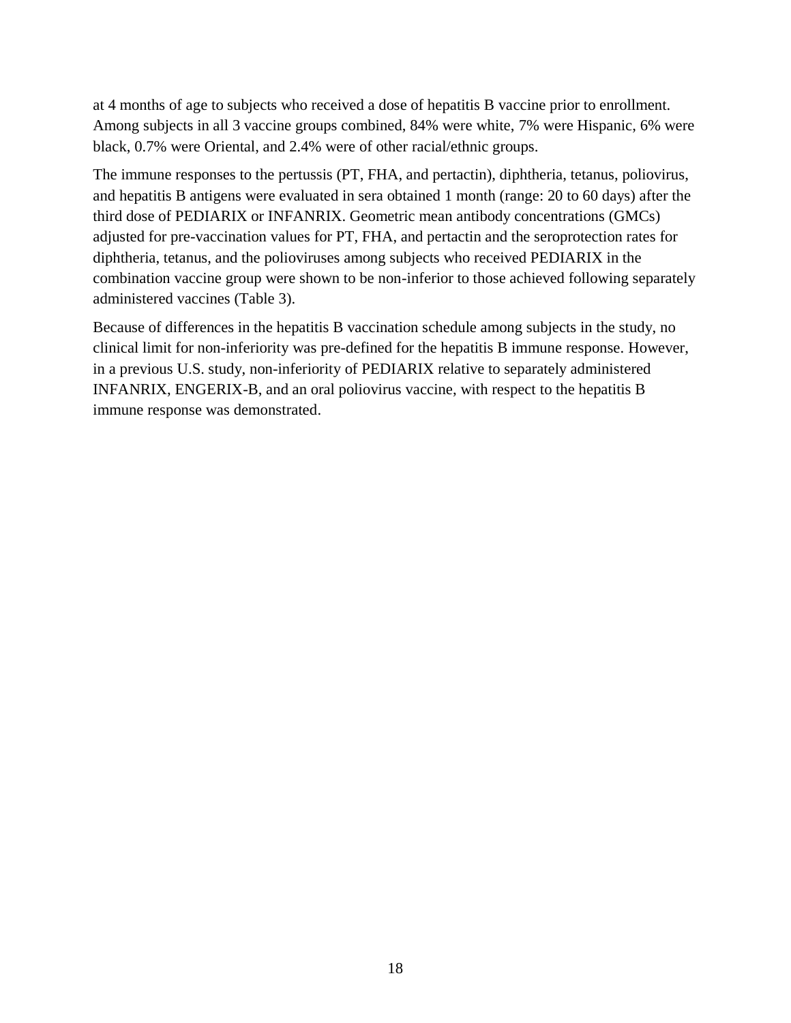at 4 months of age to subjects who received a dose of hepatitis B vaccine prior to enrollment. Among subjects in all 3 vaccine groups combined, 84% were white, 7% were Hispanic, 6% were black, 0.7% were Oriental, and 2.4% were of other racial/ethnic groups.

The immune responses to the pertussis (PT, FHA, and pertactin), diphtheria, tetanus, poliovirus, and hepatitis B antigens were evaluated in sera obtained 1 month (range: 20 to 60 days) after the third dose of PEDIARIX or INFANRIX. Geometric mean antibody concentrations (GMCs) adjusted for pre-vaccination values for PT, FHA, and pertactin and the seroprotection rates for diphtheria, tetanus, and the polioviruses among subjects who received PEDIARIX in the combination vaccine group were shown to be non-inferior to those achieved following separately administered vaccines (Table 3).

Because of differences in the hepatitis B vaccination schedule among subjects in the study, no clinical limit for non-inferiority was pre-defined for the hepatitis B immune response. However, in a previous U.S. study, non-inferiority of PEDIARIX relative to separately administered INFANRIX, ENGERIX-B, and an oral poliovirus vaccine, with respect to the hepatitis B immune response was demonstrated.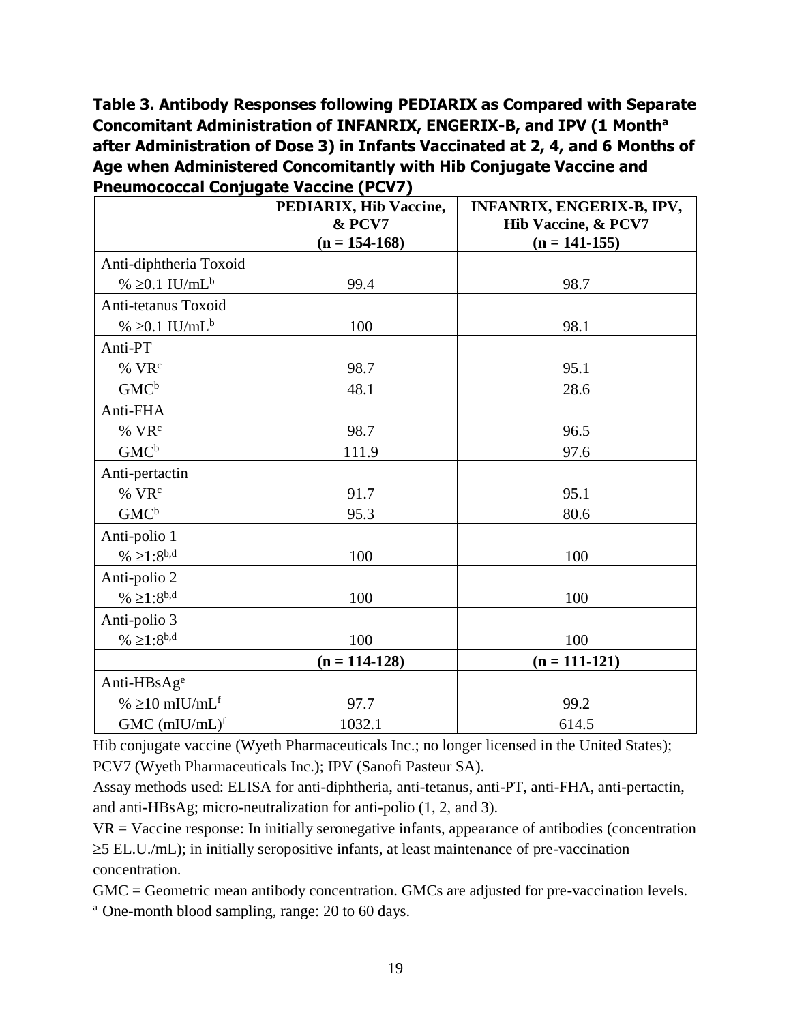**Table 3. Antibody Responses following PEDIARIX as Compared with Separate Concomitant Administration of INFANRIX, ENGERIX-B, and IPV (1 Month<sup>a</sup> after Administration of Dose 3) in Infants Vaccinated at 2, 4, and 6 Months of Age when Administered Concomitantly with Hib Conjugate Vaccine and Pneumococcal Conjugate Vaccine (PCV7)**

|                                  | PEDIARIX, Hib Vaccine,<br>& PCV7 | INFANRIX, ENGERIX-B, IPV,<br>Hib Vaccine, & PCV7 |
|----------------------------------|----------------------------------|--------------------------------------------------|
|                                  | $(n = 154-168)$                  | $(n = 141 - 155)$                                |
| Anti-diphtheria Toxoid           |                                  |                                                  |
| % $\geq 0.1$ IU/mL <sup>b</sup>  | 99.4                             | 98.7                                             |
| Anti-tetanus Toxoid              |                                  |                                                  |
| % ${\geq}0.1$ IU/mL <sup>b</sup> | 100                              | 98.1                                             |
| Anti-PT                          |                                  |                                                  |
| % VR <sup>c</sup>                | 98.7                             | 95.1                                             |
| $GMC^b$                          | 48.1                             | 28.6                                             |
| Anti-FHA                         |                                  |                                                  |
| $%$ VR <sup>c</sup>              | 98.7                             | 96.5                                             |
| GMC <sup>b</sup>                 | 111.9                            | 97.6                                             |
| Anti-pertactin                   |                                  |                                                  |
| $%$ VR <sup>c</sup>              | 91.7                             | 95.1                                             |
| $GMC^b$                          | 95.3                             | 80.6                                             |
| Anti-polio 1                     |                                  |                                                  |
| % ≥1:8 <sup>b,d</sup>            | 100                              | 100                                              |
| Anti-polio 2                     |                                  |                                                  |
| % ≥1:8 <sup>b,d</sup>            | 100                              | 100                                              |
| Anti-polio 3                     |                                  |                                                  |
| $\% \geq 1.8^{\rm b,d}$          | 100                              | 100                                              |
|                                  | $(n = 114-128)$                  | $(n = 111-121)$                                  |
| Anti-HBsAge                      |                                  |                                                  |
| $% \geq 10$ mIU/mL <sup>f</sup>  | 97.7                             | 99.2                                             |
| $GMC$ (mIU/mL) <sup>f</sup>      | 1032.1                           | 614.5                                            |

Hib conjugate vaccine (Wyeth Pharmaceuticals Inc.; no longer licensed in the United States); PCV7 (Wyeth Pharmaceuticals Inc.); IPV (Sanofi Pasteur SA).

Assay methods used: ELISA for anti-diphtheria, anti-tetanus, anti-PT, anti-FHA, anti-pertactin, and anti-HBsAg; micro-neutralization for anti-polio (1, 2, and 3).

 $VR = Vaccine$  response: In initially seronegative infants, appearance of antibodies (concentration  $\geq$ 5 EL.U./mL); in initially seropositive infants, at least maintenance of pre-vaccination concentration.

GMC = Geometric mean antibody concentration. GMCs are adjusted for pre-vaccination levels. <sup>a</sup> One-month blood sampling, range: 20 to 60 days.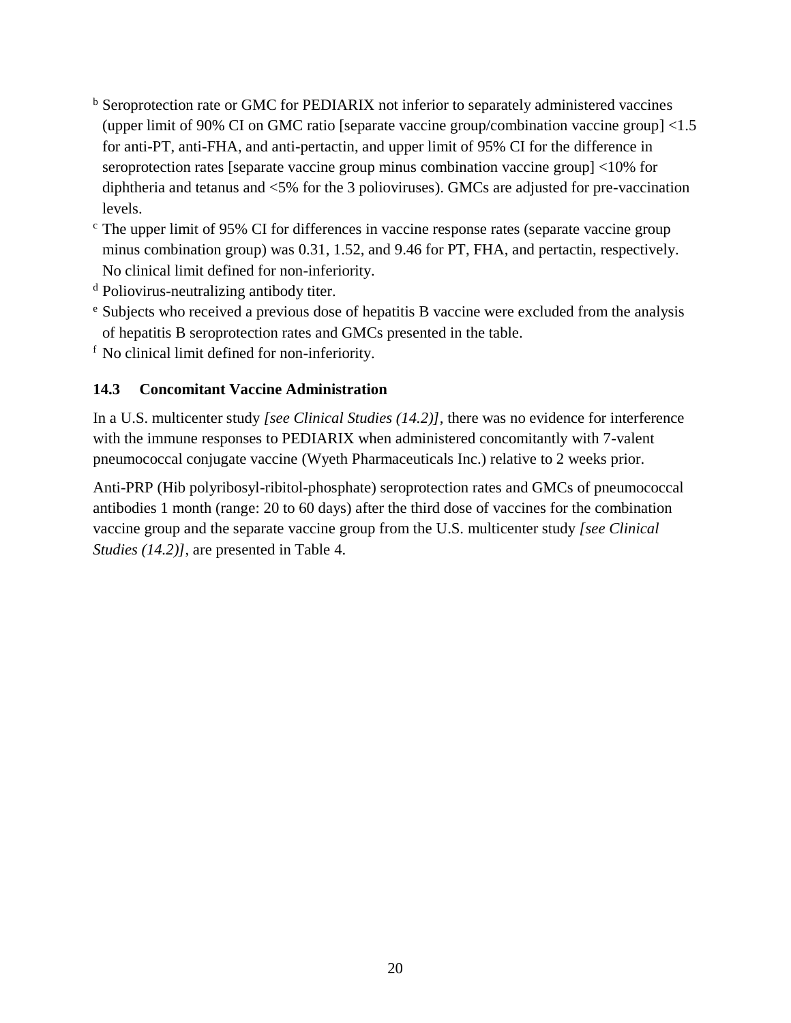- b Seroprotection rate or GMC for PEDIARIX not inferior to separately administered vaccines (upper limit of 90% CI on GMC ratio [separate vaccine group/combination vaccine group] <1.5 for anti-PT, anti-FHA, and anti-pertactin, and upper limit of 95% CI for the difference in seroprotection rates [separate vaccine group minus combination vaccine group] <10% for diphtheria and tetanus and <5% for the 3 polioviruses). GMCs are adjusted for pre-vaccination levels.
- <sup>c</sup> The upper limit of 95% CI for differences in vaccine response rates (separate vaccine group minus combination group) was 0.31, 1.52, and 9.46 for PT, FHA, and pertactin, respectively. No clinical limit defined for non-inferiority.
- <sup>d</sup> Poliovirus-neutralizing antibody titer.
- <sup>e</sup> Subjects who received a previous dose of hepatitis B vaccine were excluded from the analysis of hepatitis B seroprotection rates and GMCs presented in the table.
- <sup>f</sup> No clinical limit defined for non-inferiority.

### <span id="page-19-0"></span>**14.3 Concomitant Vaccine Administration**

In a U.S. multicenter study *[see Clinical Studies (14.2)]*, there was no evidence for interference with the immune responses to PEDIARIX when administered concomitantly with 7-valent pneumococcal conjugate vaccine (Wyeth Pharmaceuticals Inc.) relative to 2 weeks prior.

Anti-PRP (Hib polyribosyl-ribitol-phosphate) seroprotection rates and GMCs of pneumococcal antibodies 1 month (range: 20 to 60 days) after the third dose of vaccines for the combination vaccine group and the separate vaccine group from the U.S. multicenter study *[see Clinical Studies (14.2)]*, are presented in Table 4.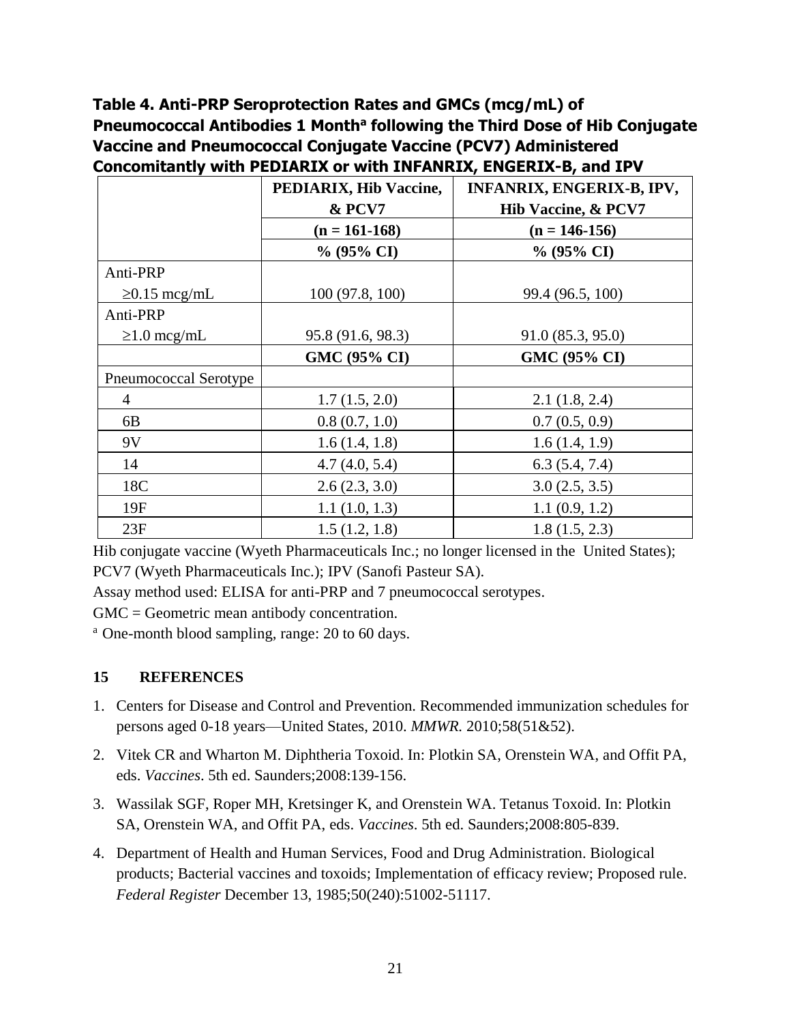# **Table 4. Anti-PRP Seroprotection Rates and GMCs (mcg/mL) of Pneumococcal Antibodies 1 Month<sup>a</sup> following the Third Dose of Hib Conjugate Vaccine and Pneumococcal Conjugate Vaccine (PCV7) Administered Concomitantly with PEDIARIX or with INFANRIX, ENGERIX-B, and IPV**

|                              | PEDIARIX, Hib Vaccine,<br>& PCV7 | <b>INFANRIX, ENGERIX-B, IPV,</b><br>Hib Vaccine, & PCV7 |
|------------------------------|----------------------------------|---------------------------------------------------------|
|                              | $(n = 161-168)$                  | $(n = 146-156)$                                         |
|                              | $\%$ (95% CI)                    | % (95% CI)                                              |
| Anti-PRP                     |                                  |                                                         |
| $\geq 0.15$ mcg/mL           | 100 (97.8, 100)                  | 99.4 (96.5, 100)                                        |
| Anti-PRP                     |                                  |                                                         |
| $\geq 1.0$ mcg/mL            | 95.8 (91.6, 98.3)                | 91.0 (85.3, 95.0)                                       |
|                              | GMC (95% CI)                     | GMC (95% CI)                                            |
| <b>Pneumococcal Serotype</b> |                                  |                                                         |
| $\overline{4}$               | 1.7(1.5, 2.0)                    | 2.1(1.8, 2.4)                                           |
| 6B                           | 0.8(0.7, 1.0)                    | 0.7(0.5, 0.9)                                           |
| 9V                           | 1.6(1.4, 1.8)                    | 1.6(1.4, 1.9)                                           |
| 14                           | 4.7(4.0, 5.4)                    | 6.3(5.4, 7.4)                                           |
| 18C                          | 2.6(2.3, 3.0)                    | 3.0(2.5, 3.5)                                           |
| 19F                          | 1.1(1.0, 1.3)                    | 1.1(0.9, 1.2)                                           |
| 23F                          | 1.5(1.2, 1.8)                    | 1.8(1.5, 2.3)                                           |

Hib conjugate vaccine (Wyeth Pharmaceuticals Inc.; no longer licensed in the United States); PCV7 (Wyeth Pharmaceuticals Inc.); IPV (Sanofi Pasteur SA).

Assay method used: ELISA for anti-PRP and 7 pneumococcal serotypes.

GMC = Geometric mean antibody concentration.

<sup>a</sup> One-month blood sampling, range: 20 to 60 days.

### <span id="page-20-0"></span>**15 REFERENCES**

- 1. Centers for Disease and Control and Prevention. Recommended immunization schedules for persons aged 0-18 years—United States, 2010. *MMWR.* 2010;58(51&52).
- 2. Vitek CR and Wharton M. Diphtheria Toxoid. In: Plotkin SA, Orenstein WA, and Offit PA, eds. *Vaccines*. 5th ed. Saunders;2008:139-156.
- 3. Wassilak SGF, Roper MH, Kretsinger K, and Orenstein WA. Tetanus Toxoid. In: Plotkin SA, Orenstein WA, and Offit PA, eds. *Vaccines*. 5th ed. Saunders;2008:805-839.
- 4. Department of Health and Human Services, Food and Drug Administration. Biological products; Bacterial vaccines and toxoids; Implementation of efficacy review; Proposed rule. *Federal Register* December 13, 1985;50(240):51002-51117.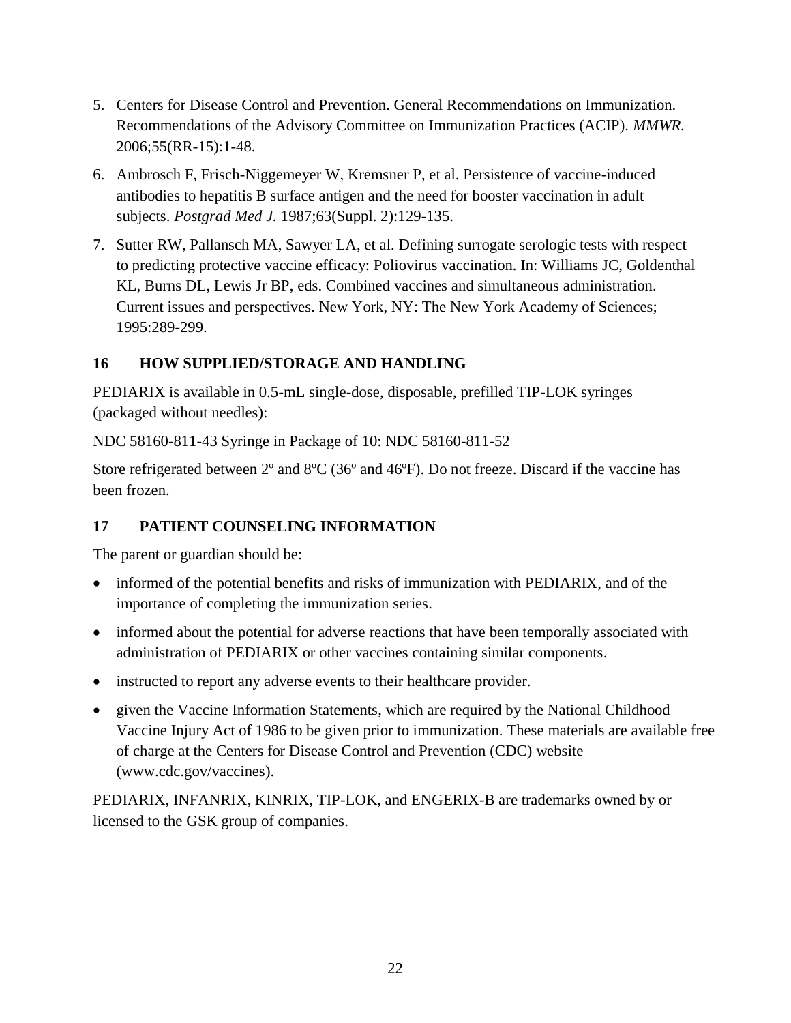- 5. Centers for Disease Control and Prevention. General Recommendations on Immunization. Recommendations of the Advisory Committee on Immunization Practices (ACIP). *MMWR.* 2006;55(RR-15):1-48.
- 6. Ambrosch F, Frisch-Niggemeyer W, Kremsner P, et al. Persistence of vaccine-induced antibodies to hepatitis B surface antigen and the need for booster vaccination in adult subjects. *Postgrad Med J.* 1987;63(Suppl. 2):129-135.
- 7. Sutter RW, Pallansch MA, Sawyer LA, et al. Defining surrogate serologic tests with respect to predicting protective vaccine efficacy: Poliovirus vaccination. In: Williams JC, Goldenthal KL, Burns DL, Lewis Jr BP, eds. Combined vaccines and simultaneous administration. Current issues and perspectives. New York, NY: The New York Academy of Sciences; 1995:289-299.

### <span id="page-21-0"></span>**16 HOW SUPPLIED/STORAGE AND HANDLING**

PEDIARIX is available in 0.5-mL single-dose, disposable, prefilled TIP-LOK syringes (packaged without needles):

NDC 58160-811-43 Syringe in Package of 10: NDC 58160-811-52

Store refrigerated between  $2^{\circ}$  and  $8^{\circ}C$  (36° and 46°F). Do not freeze. Discard if the vaccine has been frozen.

## <span id="page-21-1"></span>**17 PATIENT COUNSELING INFORMATION**

The parent or guardian should be:

- informed of the potential benefits and risks of immunization with PEDIARIX, and of the importance of completing the immunization series.
- informed about the potential for adverse reactions that have been temporally associated with administration of PEDIARIX or other vaccines containing similar components.
- instructed to report any adverse events to their healthcare provider.
- given the Vaccine Information Statements, which are required by the National Childhood Vaccine Injury Act of 1986 to be given prior to immunization. These materials are available free of charge at the Centers for Disease Control and Prevention (CDC) website (www.cdc.gov/vaccines).

PEDIARIX, INFANRIX, KINRIX, TIP-LOK, and ENGERIX-B are trademarks owned by or licensed to the GSK group of companies.